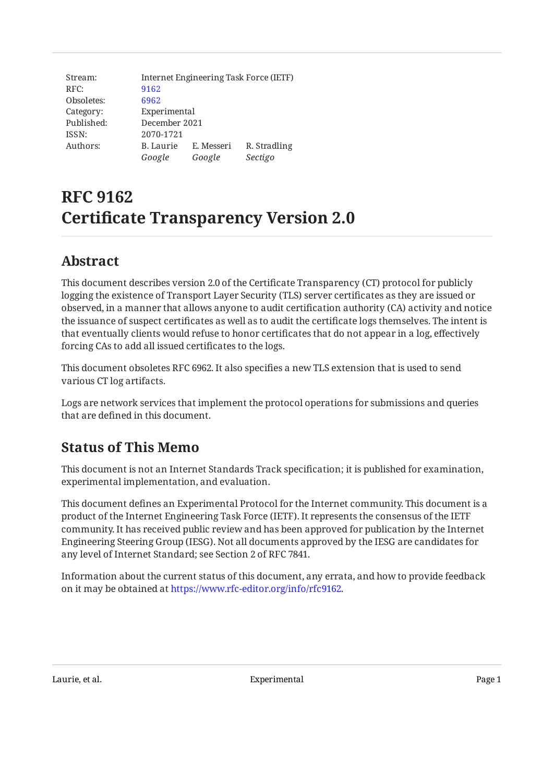Stream: RFC: Obsoletes: Category: Published: ISSN: Authors: Internet Engineering Task Force (IETF) [9162](https://www.rfc-editor.org/rfc/rfc9162) [6962](https://www.rfc-editor.org/rfc/rfc6962) Experimental December 2021 2070-1721 B. Laurie E. Messeri R. Stradling *Google Google Sectigo*

# **RFC 9162 Certificate Transparency Version 2.0**

## <span id="page-0-0"></span>**[Abstract](#page-0-0)**

This document describes version 2.0 of the Certificate Transparency (CT) protocol for publicly logging the existence of Transport Layer Security (TLS) server certificates as they are issued or observed, in a manner that allows anyone to audit certification authority (CA) activity and notice the issuance of suspect certificates as well as to audit the certificate logs themselves. The intent is that eventually clients would refuse to honor certificates that do not appear in a log, effectively forcing CAs to add all issued certificates to the logs.

This document obsoletes RFC 6962. It also specifies a new TLS extension that is used to send various CT log artifacts.

<span id="page-0-1"></span>Logs are network services that implement the protocol operations for submissions and queries that are defined in this document.

## **[Status of This Memo](#page-0-1)**

This document is not an Internet Standards Track specification; it is published for examination, experimental implementation, and evaluation.

This document defines an Experimental Protocol for the Internet community. This document is a product of the Internet Engineering Task Force (IETF). It represents the consensus of the IETF community. It has received public review and has been approved for publication by the Internet Engineering Steering Group (IESG). Not all documents approved by the IESG are candidates for any level of Internet Standard; see Section 2 of RFC 7841.

Information about the current status of this document, any errata, and how to provide feedback on it may be obtained at [https://www.rfc-editor.org/info/rfc9162.](https://www.rfc-editor.org/info/rfc9162)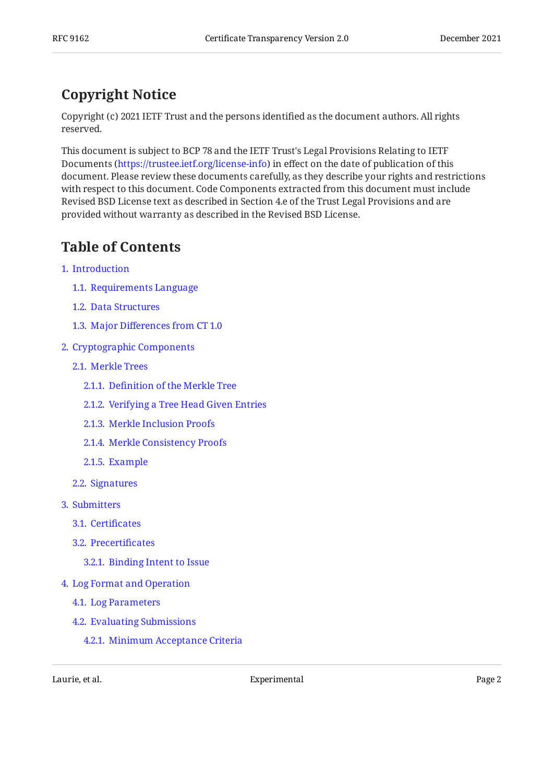# <span id="page-1-0"></span>**[Copyright Notice](#page-1-0)**

Copyright (c) 2021 IETF Trust and the persons identified as the document authors. All rights reserved.

This document is subject to BCP 78 and the IETF Trust's Legal Provisions Relating to IETF Documents (<https://trustee.ietf.org/license-info>) in effect on the date of publication of this document. Please review these documents carefully, as they describe your rights and restrictions with respect to this document. Code Components extracted from this document must include Revised BSD License text as described in Section 4.e of the Trust Legal Provisions and are provided without warranty as described in the Revised BSD License.

# <span id="page-1-1"></span>**[Table of Contents](#page-1-1)**

- [1](#page-4-0). [Introduction](#page-4-0)
	- [1.1.](#page-5-0) [Requirements Language](#page-5-0)
	- [1.2.](#page-5-1) [Data Structures](#page-5-1)
	- [1.3.](#page-5-2) Major Diff[erences from CT 1.0](#page-5-2)
- [2](#page-6-0). [Cryptographic Components](#page-6-0)
	- [2.1.](#page-6-1) [Merkle Trees](#page-6-1)
		- [2.1.1](#page-6-2). Defi[nition of the Merkle Tree](#page-6-2)
		- [2.1.2](#page-7-0). [Verifying a Tree Head Given Entries](#page-7-0)
		- [2.1.3](#page-8-0). [Merkle Inclusion Proofs](#page-8-0)
		- [2.1.4](#page-9-0). [Merkle Consistency Proofs](#page-9-0)
		- [2.1.5](#page-11-0). [Example](#page-11-0)
	- [2.2.](#page-12-0) [Signatures](#page-12-0)
- [3](#page-12-1). [Submitters](#page-12-1)
	- [3.1.](#page-13-0) Certifi[cates](#page-13-0)
	- [3.2.](#page-13-1) [Precerti](#page-13-1)ficates
		- [3.2.1](#page-14-0). [Binding Intent to Issue](#page-14-0)
- [4](#page-14-1). [Log Format and Operation](#page-14-1)
	- [4.1.](#page-15-0) [Log Parameters](#page-15-0)
	- [4.2.](#page-16-0) [Evaluating Submissions](#page-16-0)
		- [4.2.1](#page-16-1). [Minimum Acceptance Criteria](#page-16-1)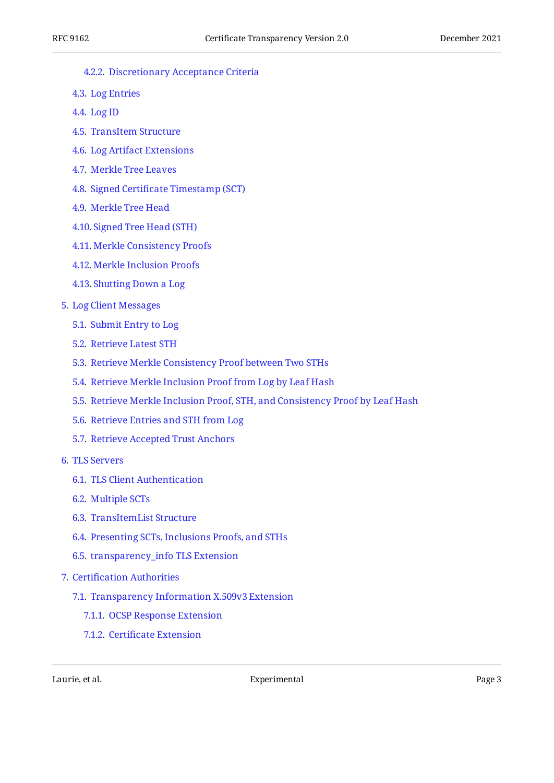- [4.2.2](#page-16-2). [Discretionary Acceptance Criteria](#page-16-2)
- [4.3.](#page-17-0) [Log Entries](#page-17-0)
- [4.4.](#page-17-1) [Log ID](#page-17-1)
- [4.5.](#page-17-2) [TransItem Structure](#page-17-2)
- [4.6.](#page-19-0) [Log Artifact Extensions](#page-19-0)
- [4.7.](#page-19-1) [Merkle Tree Leaves](#page-19-1)
- [4.8.](#page-20-0) Signed Certifi[cate Timestamp \(SCT\)](#page-20-0)
- [4.9.](#page-20-1) [Merkle Tree Head](#page-20-1)
- [4.10.](#page-21-0) [Signed Tree Head \(STH\)](#page-21-0)
- [4.11.](#page-22-0) [Merkle Consistency Proofs](#page-22-0)
- [4.12.](#page-22-1) [Merkle Inclusion Proofs](#page-22-1)
- [4.13.](#page-23-0) [Shutting Down a Log](#page-23-0)
- [5](#page-23-1). [Log Client Messages](#page-23-1)
	- [5.1.](#page-25-0) [Submit Entry to Log](#page-25-0)
	- [5.2.](#page-26-0) [Retrieve Latest STH](#page-26-0)
	- [5.3.](#page-26-1) [Retrieve Merkle Consistency Proof between Two STHs](#page-26-1)
	- [5.4.](#page-27-0) [Retrieve Merkle Inclusion Proof from Log by Leaf Hash](#page-27-0)
	- [5.5.](#page-28-0) [Retrieve Merkle Inclusion Proof, STH, and Consistency Proof by Leaf Hash](#page-28-0)
	- [5.6.](#page-29-0) [Retrieve Entries and STH from Log](#page-29-0)
	- [5.7.](#page-30-0) [Retrieve Accepted Trust Anchors](#page-30-0)
- [6](#page-31-0). [TLS Servers](#page-31-0)
	- [6.1.](#page-31-1) [TLS Client Authentication](#page-31-1)
	- [6.2.](#page-31-2) [Multiple SCTs](#page-31-2)
	- [6.3.](#page-32-0) [TransItemList Structure](#page-32-0)
	- [6.4.](#page-32-1) [Presenting SCTs, Inclusions Proofs, and STHs](#page-32-1)
	- [6.5.](#page-33-0) [transparency\\_info TLS Extension](#page-33-0)
- [7](#page-33-1). Certifi[cation Authorities](#page-33-1)
	- [7.1.](#page-33-2) [Transparency Information X.509v3 Extension](#page-33-2)
		- [7.1.1](#page-33-3). [OCSP Response Extension](#page-33-3)
		- [7.1.2](#page-34-0). Certifi[cate Extension](#page-34-0)

Laurie, et al. Experimental Page 3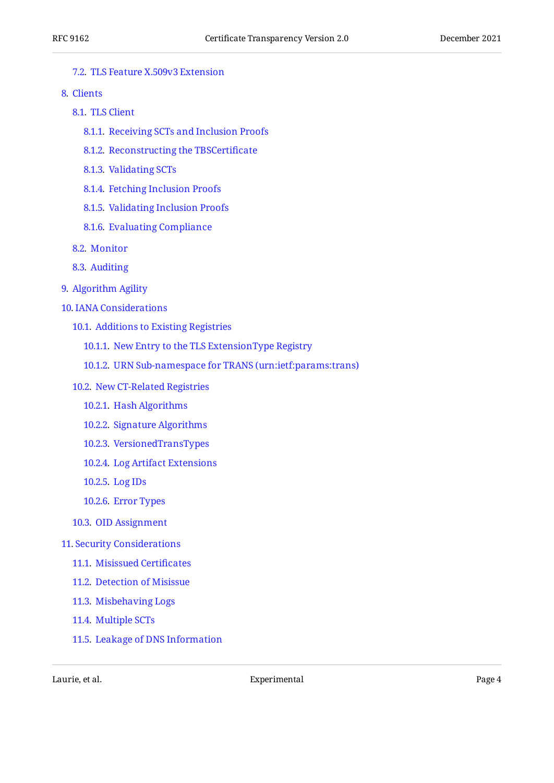#### [7.2.](#page-34-1) [TLS Feature X.509v3 Extension](#page-34-1)

- [8](#page-34-2). [Clients](#page-34-2)
	- [8.1.](#page-34-3) [TLS Client](#page-34-3)
		- [8.1.1](#page-34-4). [Receiving SCTs and Inclusion Proofs](#page-34-4)
		- [8.1.2](#page-34-5). [Reconstructing the TBSCerti](#page-34-5)ficate
		- [8.1.3](#page-35-0). [Validating SCTs](#page-35-0)
		- [8.1.4](#page-35-1). [Fetching Inclusion Proofs](#page-35-1)
		- [8.1.5](#page-35-2). [Validating Inclusion Proofs](#page-35-2)
		- [8.1.6](#page-36-0). [Evaluating Compliance](#page-36-0)
	- [8.2.](#page-36-1) [Monitor](#page-36-1)
	- [8.3.](#page-37-0) [Auditing](#page-37-0)
- [9](#page-37-1). [Algorithm Agility](#page-37-1)
- [10](#page-38-0). [IANA Considerations](#page-38-0)
	- [10.1.](#page-38-1) [Additions to Existing Registries](#page-38-1)
		- [10.1.1.](#page-38-2) [New Entry to the TLS ExtensionType Registry](#page-38-2)
		- [10.1.2.](#page-38-3) [URN Sub-namespace for TRANS \(urn:ietf:params:trans\)](#page-38-3)
	- [10.2.](#page-38-4) [New CT-Related Registries](#page-38-4)
		- [10.2.1.](#page-39-0) [Hash Algorithms](#page-39-0)
		- [10.2.2.](#page-39-1) [Signature Algorithms](#page-39-1)
		- [10.2.3.](#page-41-0) [VersionedTransTypes](#page-41-0)
		- [10.2.4.](#page-42-0) [Log Artifact Extensions](#page-42-0)
		- [10.2.5.](#page-42-1) [Log IDs](#page-42-1)
		- [10.2.6.](#page-43-0) [Error Types](#page-43-0)
	- [10.3.](#page-45-0) [OID Assignment](#page-45-0)

#### [11](#page-45-1). [Security Considerations](#page-45-1)

- [11.1.](#page-45-2) [Misissued Certi](#page-45-2)ficates
- [11.2.](#page-45-3) [Detection of Misissue](#page-45-3)
- [11.3.](#page-46-0) [Misbehaving Logs](#page-46-0)
- [11.4.](#page-46-1) [Multiple SCTs](#page-46-1)
- [11.5.](#page-46-2) [Leakage of DNS Information](#page-46-2)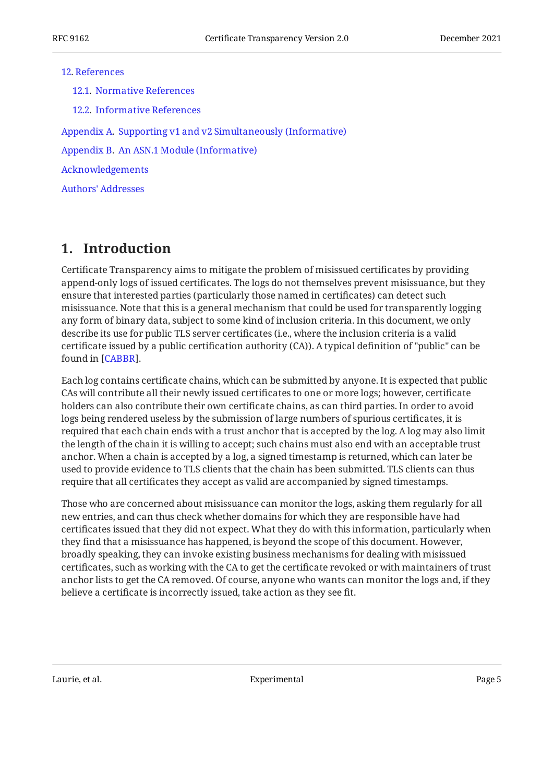#### [12](#page-46-3). [References](#page-46-3)

[12.1.](#page-46-4) [Normative References](#page-46-4) [12.2.](#page-48-0) [Informative References](#page-48-0) [Appendix A.](#page-49-0) [Supporting v1 and v2 Simultaneously \(Informative\)](#page-49-0) [Appendix B.](#page-50-0) [An ASN.1 Module \(Informative\)](#page-50-0) [Acknowledgements](#page-52-0) [Authors' Addresses](#page-52-1)

## <span id="page-4-0"></span>**[1. Introduction](#page-4-0)**

Certificate Transparency aims to mitigate the problem of misissued certificates by providing append-only logs of issued certificates. The logs do not themselves prevent misissuance, but they ensure that interested parties (particularly those named in certificates) can detect such misissuance. Note that this is a general mechanism that could be used for transparently logging any form of binary data, subject to some kind of inclusion criteria. In this document, we only describe its use for public TLS server certificates (i.e., where the inclusion criteria is a valid certificate issued by a public certification authority (CA)). A typical definition of "public" can be found in [\[CABBR](#page-48-1)].

Each log contains certificate chains, which can be submitted by anyone. It is expected that public CAs will contribute all their newly issued certificates to one or more logs; however, certificate holders can also contribute their own certificate chains, as can third parties. In order to avoid logs being rendered useless by the submission of large numbers of spurious certificates, it is required that each chain ends with a trust anchor that is accepted by the log. A log may also limit the length of the chain it is willing to accept; such chains must also end with an acceptable trust anchor. When a chain is accepted by a log, a signed timestamp is returned, which can later be used to provide evidence to TLS clients that the chain has been submitted. TLS clients can thus require that all certificates they accept as valid are accompanied by signed timestamps.

Those who are concerned about misissuance can monitor the logs, asking them regularly for all new entries, and can thus check whether domains for which they are responsible have had certificates issued that they did not expect. What they do with this information, particularly when they find that a misissuance has happened, is beyond the scope of this document. However, broadly speaking, they can invoke existing business mechanisms for dealing with misissued certificates, such as working with the CA to get the certificate revoked or with maintainers of trust anchor lists to get the CA removed. Of course, anyone who wants can monitor the logs and, if they believe a certificate is incorrectly issued, take action as they see fit.

Laurie, et al. No. 2016 and Experimental Page 5 and Page 5 and Page 5 and Page 5 and Page 5 and Page 5 and Page 5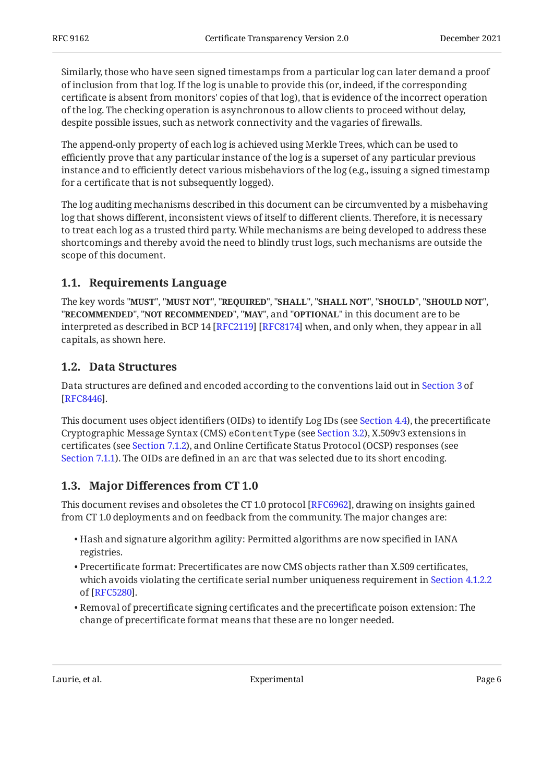Similarly, those who have seen signed timestamps from a particular log can later demand a proof of inclusion from that log. If the log is unable to provide this (or, indeed, if the corresponding certificate is absent from monitors' copies of that log), that is evidence of the incorrect operation of the log. The checking operation is asynchronous to allow clients to proceed without delay, despite possible issues, such as network connectivity and the vagaries of firewalls.

The append-only property of each log is achieved using Merkle Trees, which can be used to efficiently prove that any particular instance of the log is a superset of any particular previous instance and to efficiently detect various misbehaviors of the log (e.g., issuing a signed timestamp for a certificate that is not subsequently logged).

The log auditing mechanisms described in this document can be circumvented by a misbehaving log that shows different, inconsistent views of itself to different clients. Therefore, it is necessary to treat each log as a trusted third party. While mechanisms are being developed to address these shortcomings and thereby avoid the need to blindly trust logs, such mechanisms are outside the scope of this document.

### <span id="page-5-0"></span>**[1.1. Requirements Language](#page-5-0)**

The key words "MUST", "MUST NOT", "REQUIRED", "SHALL", "SHALL NOT", "SHOULD", "SHOULD NOT", "**RECOMMENDED", "NOT RECOMMENDED", "MAY",** and "OPTIONAL" in this document are to be interpreted as described in BCP 14 [RFC2119] [RFC8174] when, and only when, they appear in all capitals, as shown here.

### <span id="page-5-1"></span>**[1.2. Data Structures](#page-5-1)**

Data structures are defined and encoded according to the conventions laid out in [Section 3](https://www.rfc-editor.org/rfc/rfc8446#section-3) of . [[RFC8446\]](#page-48-3)

This document uses object identifiers (OIDs) to identify Log IDs (see [Section 4.4](#page-17-1)), the precertificate Cryptographic Message Syntax (CMS) eContentType (see [Section 3.2](#page-13-1)), X.509v3 extensions in certificates (see [Section 7.1.2](#page-34-0)), and Online Certificate Status Protocol (OCSP) responses (see [Section 7.1.1\)](#page-33-3). The OIDs are defined in an arc that was selected due to its short encoding.

### <span id="page-5-2"></span>**[1.3. M](#page-5-2)ajor Diff[erences from CT 1.0](#page-5-2)**

This document revises and obsoletes the CT 1.0 protocol [RFC6962], drawing on insights gained from CT 1.0 deployments and on feedback from the community. The major changes are:

- Hash and signature algorithm agility: Permitted algorithms are now specified in IANA registries.
- Precertificate format: Precertificates are now CMS objects rather than X.509 certificates, which avoids violating the certificate serial number uniqueness requirement in [Section 4.1.2.2](https://www.rfc-editor.org/rfc/rfc5280#section-4.1.2.2) . of [[RFC5280\]](#page-47-1)
- $\bullet$  Removal of precertificate signing certificates and the precertificate poison extension: The change of precertificate format means that these are no longer needed.

Laurie, et al. No. 2016 and Experimental Causes of the Cause of the Page 6 and Page 6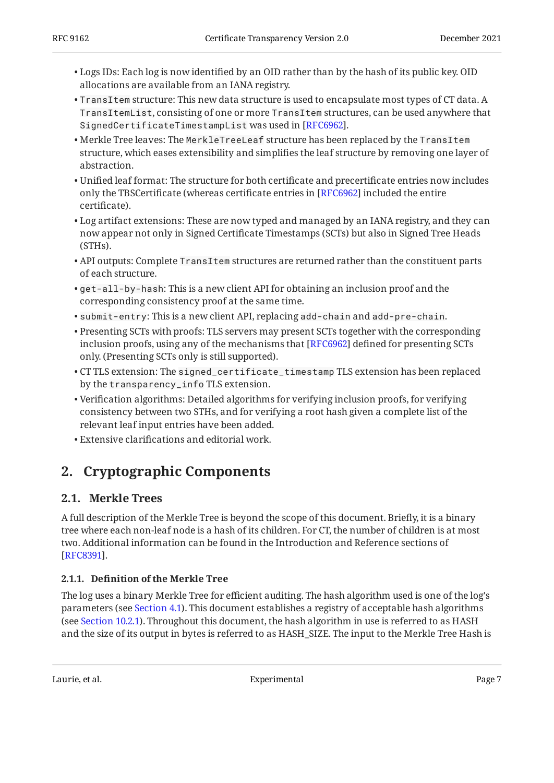- Logs IDs: Each log is now identified by an OID rather than by the hash of its public key. OID allocations are available from an IANA registry.
- $\bullet$  TransItem structure: This new data structure is used to encapsulate most types of CT data. A TransItemList, consisting of one or more TransItem structures, can be used anywhere that SignedCertificateTimestampList was used in [[RFC6962\]](#page-49-1).
- Merkle Tree leaves: The MerkleTreeLeaf structure has been replaced by the TransItem structure, which eases extensibility and simplifies the leaf structure by removing one layer of abstraction.
- Unified leaf format: The structure for both certificate and precertificate entries now includes only the TBSCertificate (whereas certificate entries in [RFC6962] included the entire certificate).
- $\bullet$  Log artifact extensions: These are now typed and managed by an IANA registry, and they can now appear not only in Signed Certificate Timestamps (SCTs) but also in Signed Tree Heads (STHs).
- $\bullet$  API outputs: Complete <code>TransItem</code> structures are returned rather than the constituent parts of each structure.
- get-all-by-hash: This is a new client API for obtaining an inclusion proof and the corresponding consistency proof at the same time.
- submit-entry: This is a new client API, replacing add-chain and add-pre-chain. •
- Presenting SCTs with proofs: TLS servers may present SCTs together with the corresponding inclusion proofs, using any of the mechanisms that [RFC6962] defined for presenting SCTs only. (Presenting SCTs only is still supported).
- $\bullet$  CT TLS extension: The <code>signed\_certificate\_timestamp</code> TLS extension has been replaced by the transparency\_info TLS extension.
- Verification algorithms: Detailed algorithms for verifying inclusion proofs, for verifying consistency between two STHs, and for verifying a root hash given a complete list of the relevant leaf input entries have been added.
- <span id="page-6-0"></span>Extensive clarifications and editorial work. •

## <span id="page-6-1"></span>**[2. Cryptographic Components](#page-6-0)**

### **[2.1. Merkle Trees](#page-6-1)**

A full description of the Merkle Tree is beyond the scope of this document. Briefly, it is a binary tree where each non-leaf node is a hash of its children. For CT, the number of children is at most two. Additional information can be found in the Introduction and Reference sections of [[RFC8391\]](#page-48-4).

### <span id="page-6-2"></span>**[2.1.1. D](#page-6-2)efi[nition of the Merkle Tree](#page-6-2)**

The log uses a binary Merkle Tree for efficient auditing. The hash algorithm used is one of the log's parameters (see [Section 4.1\)](#page-15-0). This document establishes a registry of acceptable hash algorithms (see [Section 10.2.1\)](#page-39-0). Throughout this document, the hash algorithm in use is referred to as HASH and the size of its output in bytes is referred to as HASH\_SIZE. The input to the Merkle Tree Hash is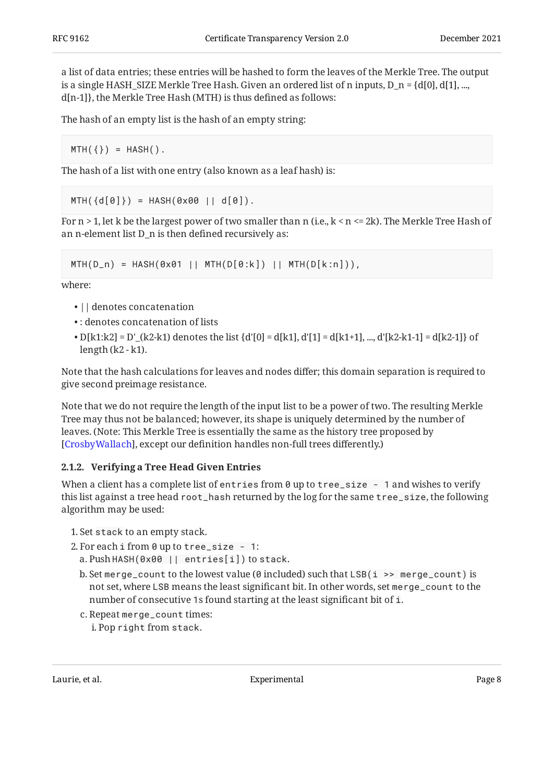a list of data entries; these entries will be hashed to form the leaves of the Merkle Tree. The output is a single HASH\_SIZE Merkle Tree Hash. Given an ordered list of n inputs, D\_n =  $\{d[0], d[1], ...,$ d[n-1]}, the Merkle Tree Hash (MTH) is thus defined as follows:

The hash of an empty list is the hash of an empty string:

 $MTH({}) = HASH).$ 

The hash of a list with one entry (also known as a leaf hash) is:

 $MTH({d[0]}) = HASH(0x00 | | d[0]).$ 

For  $n > 1$ , let k be the largest power of two smaller than n (i.e.,  $k < n \le 2k$ ). The Merkle Tree Hash of an n-element list D\_n is then defined recursively as:

```
MTH(D_n) = HASH(0x01 || MTH(D[0:k]) || MTH(D[k:n])),
```
where:

- $\cdot$  || denotes concatenation
- : denotes concatenation of lists •
- $\bullet$  D[k1:k2] = D'\_(k2-k1) denotes the list {d'[0] = d[k1], d'[1] = d[k1+1], ..., d'[k2-k1-1] = d[k2-1]} of length (k2 - k1).

Note that the hash calculations for leaves and nodes differ; this domain separation is required to give second preimage resistance.

Note that we do not require the length of the input list to be a power of two. The resulting Merkle Tree may thus not be balanced; however, its shape is uniquely determined by the number of leaves. (Note: This Merkle Tree is essentially the same as the history tree proposed by [[CrosbyWallach\]](#page-49-2), except our definition handles non-full trees differently.)

#### <span id="page-7-0"></span>**[2.1.2. Verifying a Tree Head Given Entries](#page-7-0)**

When a client has a complete list of entries from  $\theta$  up to tree\_size - 1 and wishes to verify this list against a tree head root\_hash returned by the log for the same tree\_size, the following algorithm may be used:

- 1. Set stack to an empty stack.
- 2. For each i from 0 up to tree\_size 1:
	- Push HASH(0x00 || entries[i]) to stack. a.
	- b. Set merge\_count to the lowest value (0 included) such that LSB(i >> merge\_count) is not set, where LSB means the least significant bit. In other words, set merge\_count to the number of consecutive 1s found starting at the least significant bit of i.
	- c. Repeat merge\_count times: i. Pop right from stack.

Laurie, et al. Experimental Page 8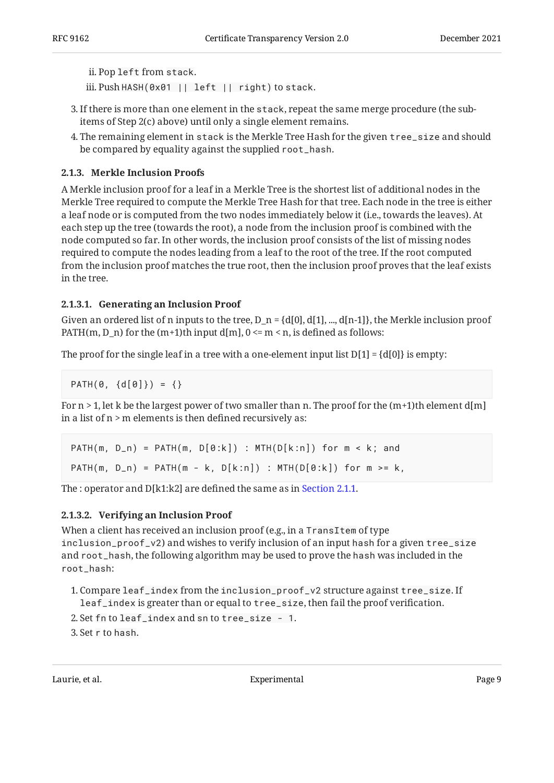```
ii. Pop left from stack.
```
iii.PushHASH(0x01 || left || right)to stack.

- If there is more than one element in the stack, repeat the same merge procedure (the sub-3. items of Step 2(c) above) until only a single element remains.
- The remaining element in stack is the Merkle Tree Hash for the given tree\_size and should 4. be compared by equality against the supplied root\_hash.

#### <span id="page-8-0"></span>**[2.1.3. Merkle Inclusion Proofs](#page-8-0)**

A Merkle inclusion proof for a leaf in a Merkle Tree is the shortest list of additional nodes in the Merkle Tree required to compute the Merkle Tree Hash for that tree. Each node in the tree is either a leaf node or is computed from the two nodes immediately below it (i.e., towards the leaves). At each step up the tree (towards the root), a node from the inclusion proof is combined with the node computed so far. In other words, the inclusion proof consists of the list of missing nodes required to compute the nodes leading from a leaf to the root of the tree. If the root computed from the inclusion proof matches the true root, then the inclusion proof proves that the leaf exists in the tree.

#### <span id="page-8-1"></span>**[2.1.3.1. Generating an Inclusion Proof](#page-8-1)**

Given an ordered list of n inputs to the tree,  $D_n = \{d[0], d[1], ..., d[n-1]\}$ , the Merkle inclusion proof PATH(m, D\_n) for the  $(m+1)$ th input d[m],  $0 \le m \le n$ , is defined as follows:

The proof for the single leaf in a tree with a one-element input list  $D[1] = \{d[0]\}$  is empty:

PATH $(0, \{d[0]\}) = \{\}$ 

For  $n > 1$ , let k be the largest power of two smaller than n. The proof for the  $(m+1)$ th element d[m] in a list of n > m elements is then defined recursively as:

PATH(m,  $D_n$ ) = PATH(m,  $D[0:k]$ ) : MTH( $D[k:n]$ ) for  $m < k$ ; and PATH(m,  $D_n$ ) = PATH(m - k,  $D[k:n]$ ) : MTH( $D[0:k]$ ) for m >= k,

The : operator and D[k1:k2] are defined the same as in [Section 2.1.1.](#page-6-2)

#### <span id="page-8-2"></span>**[2.1.3.2. Verifying an Inclusion Proof](#page-8-2)**

When a client has received an inclusion proof (e.g., in a TransItem of type inclusion\_proof\_v2) and wishes to verify inclusion of an input hash for a given tree\_size and root\_hash, the following algorithm may be used to prove the hash was included in the root\_hash:

- 1. Compare  $\verb|leaf_index|$  from the <code>inclusion\_proof\_v2</code> structure against <code>tree\_size. If</code> leaf\_index is greater than or equal to tree\_size, then fail the proof verification.
- 2. Set fn to leaf\_index and sn to tree\_size 1.

Set r to hash. 3.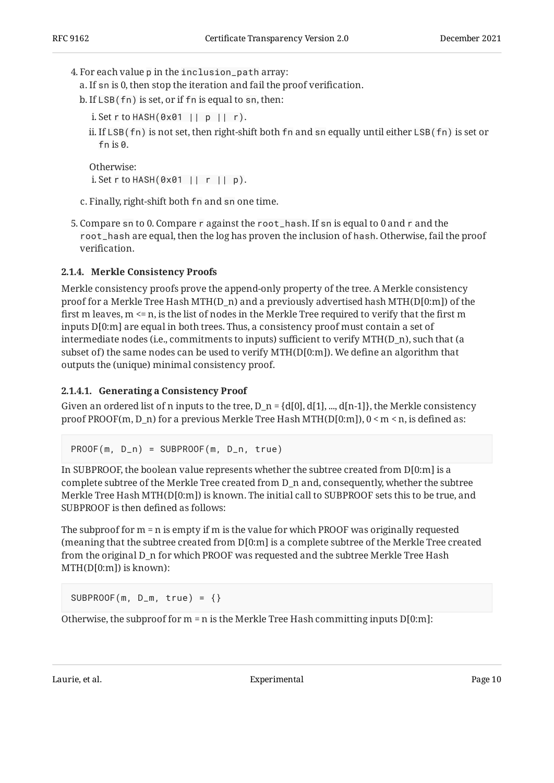- For each value p in the inclusion\_path array: 4.
	- a. If sn is 0, then stop the iteration and fail the proof verification.
	- b. If LSB( fn) is set, or if fn is equal to sn, then:
		- Set r to HASH(0x01 || p || r). i.
		- ii. If <code>LSB(fn)</code> is not set, then right-shift both <code>fn</code> and <code>sn</code> equally until either <code>LSB(fn)</code> is set or fn is  $\rho$ .

```
Otherwise:
i. Set r to HASH(0x01 || r || p).
```
c. Finally, right-shift both fn and sn one time.

5. Compare sn to 0. Compare  $r$  against the <code>root\_hash.</code> If sn is equal to 0 and  $r$  and the root\_hash are equal, then the log has proven the inclusion of hash. Otherwise, fail the proof verification.

#### <span id="page-9-0"></span>**[2.1.4. Merkle Consistency Proofs](#page-9-0)**

Merkle consistency proofs prove the append-only property of the tree. A Merkle consistency proof for a Merkle Tree Hash MTH(D\_n) and a previously advertised hash MTH(D[0:m]) of the first m leaves, m <= n, is the list of nodes in the Merkle Tree required to verify that the first m inputs D[0:m] are equal in both trees. Thus, a consistency proof must contain a set of intermediate nodes (i.e., commitments to inputs) sufficient to verify MTH(D\_n), such that (a subset of) the same nodes can be used to verify MTH(D[0:m]). We define an algorithm that outputs the (unique) minimal consistency proof.

#### <span id="page-9-1"></span>**[2.1.4.1. Generating a Consistency Proof](#page-9-1)**

Given an ordered list of n inputs to the tree,  $D_n = \{d[0], d[1], ..., d[n-1]\}$ , the Merkle consistency proof PROOF(m, D\_n) for a previous Merkle Tree Hash MTH(D[0:m]), 0 < m < n, is defined as:

 $PROOF(m, D_n) = SUBPROOF(m, D_n, true)$ 

In SUBPROOF, the boolean value represents whether the subtree created from D[0:m] is a complete subtree of the Merkle Tree created from D\_n and, consequently, whether the subtree Merkle Tree Hash MTH(D[0:m]) is known. The initial call to SUBPROOF sets this to be true, and SUBPROOF is then defined as follows:

The subproof for m = n is empty if m is the value for which PROOF was originally requested (meaning that the subtree created from D[0:m] is a complete subtree of the Merkle Tree created from the original D\_n for which PROOF was requested and the subtree Merkle Tree Hash MTH(D[0:m]) is known):

SUBPROOF(m, D\_m, true) = {}

Otherwise, the subproof for  $m = n$  is the Merkle Tree Hash committing inputs  $D[0:m]$ :

Laurie, et al. **Experimental** Experimental Page 10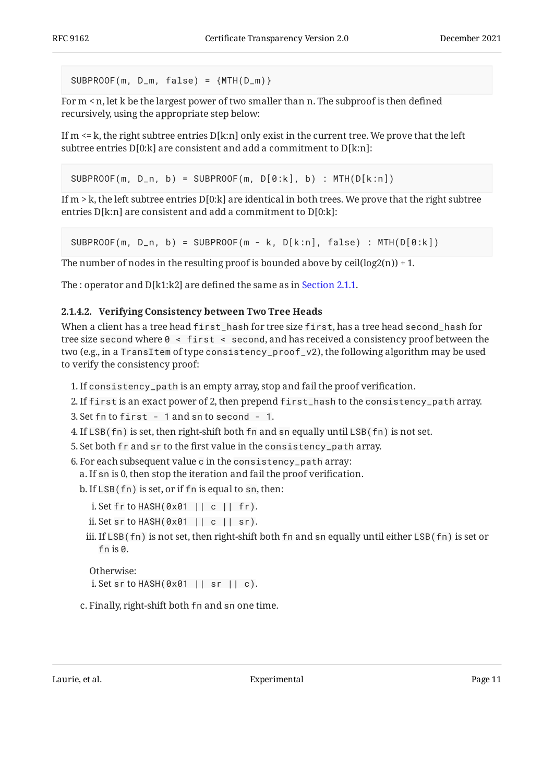```
SUBPROOF(m, D_m, false) = {MTH(D_m)}
```
For m < n, let k be the largest power of two smaller than n. The subproof is then defined recursively, using the appropriate step below:

If  $m \le k$ , the right subtree entries  $D[k:n]$  only exist in the current tree. We prove that the left subtree entries D[0:k] are consistent and add a commitment to D[k:n]:

```
SUBPROOF(m, D_n, b) = SUBPROOF(m, D[0:k], b) : MTH(D[k:n])
```
If  $m > k$ , the left subtree entries D[0:k] are identical in both trees. We prove that the right subtree entries D[k:n] are consistent and add a commitment to D[0:k]:

```
SUBPROOF(m, D_n, b) = SUBPROOF(m - k, D[k:n], false) : MTH(D[0:k])
```
The number of nodes in the resulting proof is bounded above by  $ceil(log2(n)) + 1$ .

The : operator and D[k1:k2] are defined the same as in [Section 2.1.1.](#page-6-2)

### <span id="page-10-0"></span>**[2.1.4.2. Verifying Consistency between Two Tree Heads](#page-10-0)**

When a client has a tree head first\_hash for tree size first, has a tree head second\_hash for tree size second where  $0 \leq f$  is  $t \leq f$  second, and has received a consistency proof between the two (e.g., in a TransItem of type consistency\_proof\_v2), the following algorithm may be used to verify the consistency proof:

1. If consistency\_path is an empty array, stop and fail the proof verification.

If first is an exact power of 2, then prepend first\_hash to the consistency\_path array. 2.

Set fn to first - 1 and sn to second - 1. 3.

- $4.$  If LSB(  $fn$  ) is set, then right-shift both  $fn$  and  $sn$  equally until LSB(  $fn$  ) is not set.
- 5. Set both fr and sr to the first value in the consistency\_path array.
- 6. For each subsequent value c in the consistency\_path array:

a. If sn is 0, then stop the iteration and fail the proof verification.

b. If LSB( fn) is set, or if fn is equal to sn, then:

```
Set fr to HASH(0x01 || c || fr). 
i.
```

```
Set sr to HASH(0x01 || c || sr). 
ii.
```
iii. If LSB ( <code>fn)</code> is not set, then right-shift both <code>fn</code> and <code>sn</code> equally until either <code>LSB(</code> <code>fn)</code> is set or fn is 0.

```
Otherwise:
i. Set sr to HASH(0x01 || sr || c).
```
c. Finally, right-shift both fn and sn one time.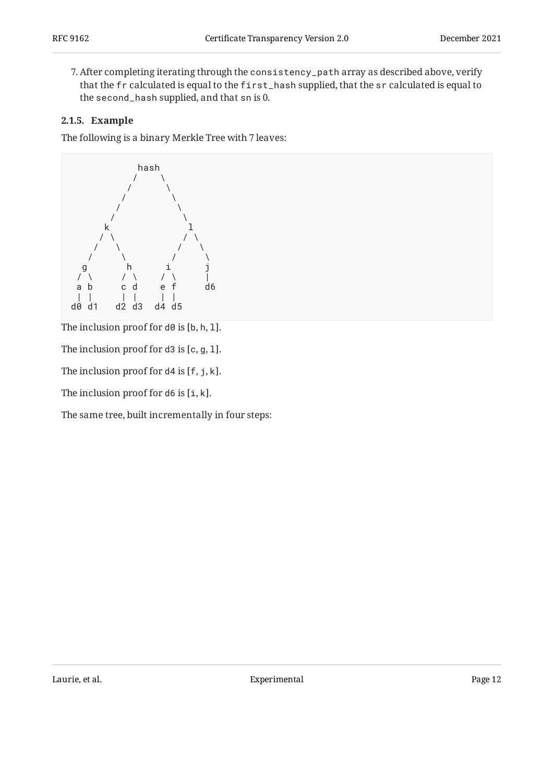After completing iterating through the consistency\_path array as described above, verify 7. that the fr calculated is equal to the first\_hash supplied, that the sr calculated is equal to the second\_hash supplied, and that sn is 0.

#### <span id="page-11-0"></span>**[2.1.5. Example](#page-11-0)**

The following is a binary Merkle Tree with 7 leaves:



The inclusion proof for d0 is [b, h, 1].

The inclusion proof for d3 is [c, g, l].

The inclusion proof for d4 is [f, j, k].

The inclusion proof for  $d6$  is  $[i, k]$ .

The same tree, built incrementally in four steps: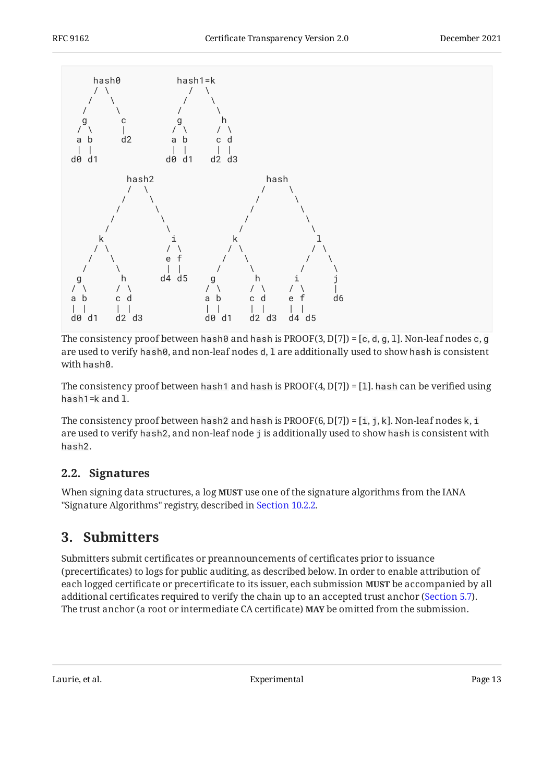

The consistency proof between hash0 and hash is PROOF(3, D[7]) = [c, d, g, 1]. Non-leaf nodes c, g are used to verify hash0, and non-leaf nodes d, 1 are additionally used to show hash is consistent with hash0.

The consistency proof between hash1 and hash is  $PROOF(4, D[7]) = [1]$ . hash can be verified using hash1=k and l.

The consistency proof between hash2 and hash is PROOF(6, D[7]) = [i, j, k]. Non-leaf nodes k, i are used to verify hash2, and non-leaf node j is additionally used to show hash is consistent with hash2.

### <span id="page-12-0"></span>**[2.2. Signatures](#page-12-0)**

<span id="page-12-1"></span>When signing data structures, a log **MUST** use one of the signature algorithms from the IANA "Signature Algorithms" registry, described in [Section 10.2.2.](#page-39-1)

### **[3. Submitters](#page-12-1)**

Submitters submit certificates or preannouncements of certificates prior to issuance (precertificates) to logs for public auditing, as described below. In order to enable attribution of each logged certificate or precertificate to its issuer, each submission MUST be accompanied by all additional certificates required to verify the chain up to an accepted trust anchor ([Section 5.7\)](#page-30-0). The trust anchor (a root or intermediate CA certificate) **MAY** be omitted from the submission.

Laurie, et al. Experimental Page 13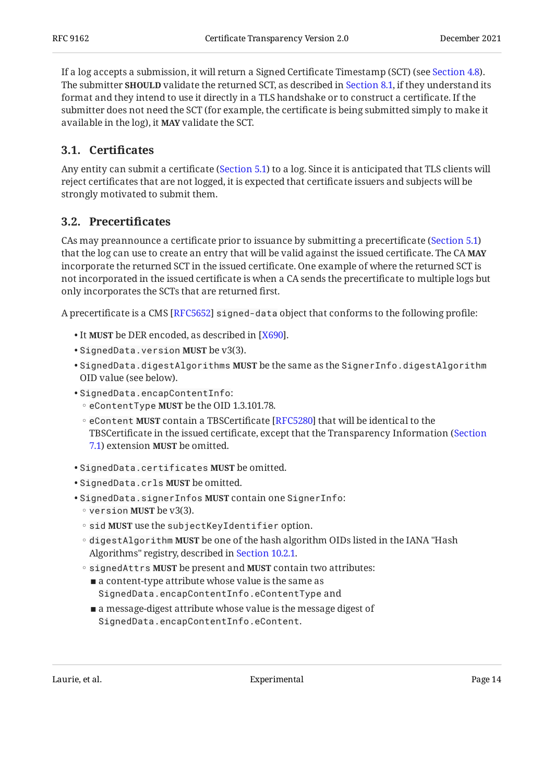If a log accepts a submission, it will return a Signed Certificate Timestamp (SCT) (see [Section 4.8](#page-20-0)). The submitter **SHOULD** validate the returned SCT, as described in [Section 8.1](#page-34-3), if they understand its format and they intend to use it directly in a TLS handshake or to construct a certificate. If the submitter does not need the SCT (for example, the certificate is being submitted simply to make it available in the log), it MAY validate the SCT.

### <span id="page-13-0"></span>**[3.1. C](#page-13-0)ertifi[cates](#page-13-0)**

Any entity can submit a certificate ([Section 5.1](#page-25-0)) to a log. Since it is anticipated that TLS clients will reject certificates that are not logged, it is expected that certificate issuers and subjects will be strongly motivated to submit them.

### <span id="page-13-1"></span>**[3.2. Precerti](#page-13-1)ficates**

CAs may preannounce a certificate prior to issuance by submitting a precertificate [\(Section 5.1](#page-25-0)) that the log can use to create an entry that will be valid against the issued certificate. The CA **MAY** incorporate the returned SCT in the issued certificate. One example of where the returned SCT is not incorporated in the issued certificate is when a CA sends the precertificate to multiple logs but only incorporates the SCTs that are returned first.

A precertificate is a CMS [[RFC5652\]](#page-47-2) s<code>igned-data</code> object that conforms to the following profile:

- It **MUST** be DER encoded, as described in [X690].
- SignedData.version **MUST** be v3(3).
- SignedData.digestAlgorithms **MUST** be the same as the SignerInfo.digestAlgorithm OID value (see below).
- •SignedData.encapContentInfo:
- **eContentType MUST** be the OID 1.3.101.78.
- **eContent MUST** contain a TBSCertificate [RFC5280] that will be identical to the TBSCertificate in the issued certificate, except that the Transparency Information ([Section](#page-33-2) [7.1\)](#page-33-2) extension **MUST** be omitted.
- SignedData.certificates **MUST** be omitted.
- SignedData.crls **MUST** be omitted.
- SignedData.signerInfos MUST contain one SignerInfo:
	- **version MUST** be v3(3).
	- sid MUST use the subjectKeyIdentifier option.
	- digestAlgorithm MUST be one of the hash algorithm OIDs listed in the IANA "Hash Algorithms" registry, described in [Section 10.2.1](#page-39-0).
	- signedAttrs MUST be present and MUST contain two attributes:
		- $\blacksquare$  a content-type attribute whose value is the same as SignedData.encapContentInfo.eContentType and
		- $\blacksquare$  a message-digest attribute whose value is the message digest of SignedData.encapContentInfo.eContent.

Laurie, et al. No. 2013 - Experimental Cause of the Cause of the Page 14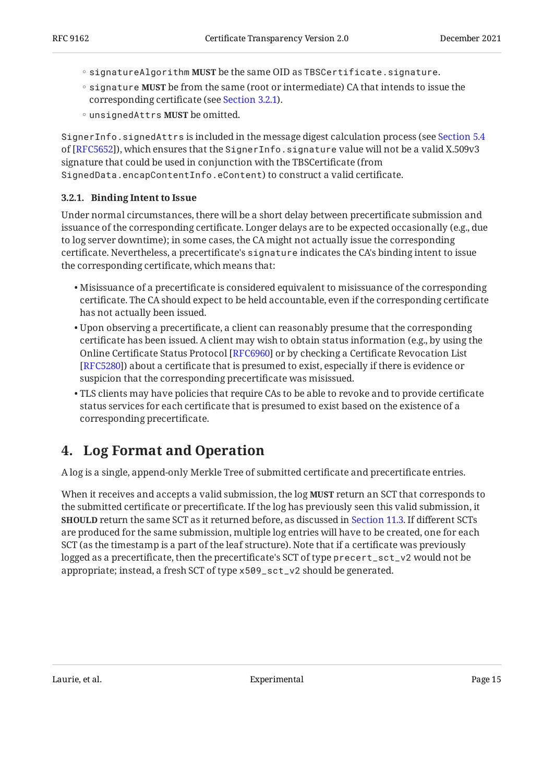- signatureAlgorithm MUST be the same OID as TBSCertificate.signature.
- **signature MUST** be from the same (root or intermediate) CA that intends to issue the corresponding certificate (see [Section 3.2.1\)](#page-14-0).
- unsignedAttrs **MUST** be omitted.

SignerInfo.signedAttrs is included in the message digest calculation process (see [Section 5.4](https://www.rfc-editor.org/rfc/rfc5652#section-5.4) ), which ensures that the SignerInfo.signature value will not be a valid X.509v3 of [[RFC5652\]](#page-47-2) signature that could be used in conjunction with the TBSCertificate (from SignedData.encapContentInfo.eContent) to construct a valid certificate.

#### <span id="page-14-0"></span>**[3.2.1. Binding Intent to Issue](#page-14-0)**

Under normal circumstances, there will be a short delay between precertificate submission and issuance of the corresponding certificate. Longer delays are to be expected occasionally (e.g., due to log server downtime); in some cases, the CA might not actually issue the corresponding certificate. Nevertheless, a precertificate's signature indicates the CA's binding intent to issue the corresponding certificate, which means that:

- $\bullet$  Misissuance of a precertificate is considered equivalent to misissuance of the corresponding certificate. The CA should expect to be held accountable, even if the corresponding certificate has not actually been issued.
- $\bullet$  Upon observing a precertificate, a client can reasonably presume that the corresponding certificate has been issued. A client may wish to obtain status information (e.g., by using the Online Certificate Status Protocol [\[RFC6960\]](#page-47-3) or by checking a Certificate Revocation List [[RFC5280\]](#page-47-1)) about a certificate that is presumed to exist, especially if there is evidence or suspicion that the corresponding precertificate was misissued.
- TLS clients may have policies that require CAs to be able to revoke and to provide certificate status services for each certificate that is presumed to exist based on the existence of a corresponding precertificate.

## <span id="page-14-1"></span>**[4. Log Format and Operation](#page-14-1)**

A log is a single, append-only Merkle Tree of submitted certificate and precertificate entries.

When it receives and accepts a valid submission, the log **MUST** return an SCT that corresponds to the submitted certificate or precertificate. If the log has previously seen this valid submission, it **SHOULD** return the same SCT as it returned before, as discussed in [Section 11.3.](#page-46-0) If different SCTs are produced for the same submission, multiple log entries will have to be created, one for each SCT (as the timestamp is a part of the leaf structure). Note that if a certificate was previously logged as a precertificate, then the precertificate's SCT of type precert\_sct\_v2 would not be appropriate; instead, a fresh SCT of type x509\_sct\_v2 should be generated.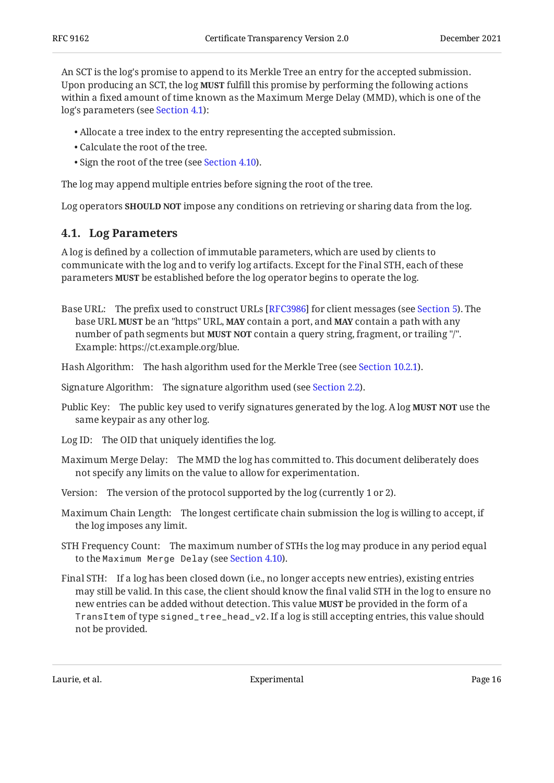An SCT is the log's promise to append to its Merkle Tree an entry for the accepted submission. Upon producing an SCT, the log **MUST** fulfill this promise by performing the following actions within a fixed amount of time known as the Maximum Merge Delay (MMD), which is one of the log's parameters (see [Section 4.1](#page-15-0)):

- Allocate a tree index to the entry representing the accepted submission. •
- Calculate the root of the tree. •
- Sign the root of the tree (see [Section 4.10\)](#page-21-0).

The log may append multiple entries before signing the root of the tree.

<span id="page-15-0"></span>Log operators **SHOULD NOT** impose any conditions on retrieving or sharing data from the log.

### **[4.1. Log Parameters](#page-15-0)**

A log is defined by a collection of immutable parameters, which are used by clients to communicate with the log and to verify log artifacts. Except for the Final STH, each of these parameters **MUST** be established before the log operator begins to operate the log.

Base URL: The prefix used to construct URLs [RFC3986] for client messages (see [Section 5\)](#page-23-1). The base URL **MUST** be an "https" URL, **MAY** contain a port, and **MAY** contain a path with any number of path segments but **MUST NOT** contain a query string, fragment, or trailing "/". Example: https://ct.example.org/blue.

Hash Algorithm: The hash algorithm used for the Merkle Tree (see [Section 10.2.1\)](#page-39-0).

Signature Algorithm: The signature algorithm used (see [Section 2.2](#page-12-0)).

- Public Key: The public key used to verify signatures generated by the log. A log **MUST NOT** use the same keypair as any other log.
- Log ID: The OID that uniquely identifies the log.
- Maximum Merge Delay: The MMD the log has committed to. This document deliberately does not specify any limits on the value to allow for experimentation.
- Version: The version of the protocol supported by the log (currently 1 or 2).
- Maximum Chain Length: The longest certificate chain submission the log is willing to accept, if the log imposes any limit.
- STH Frequency Count: The maximum number of STHs the log may produce in any period equal to the Maximum Merge Delay (see [Section 4.10\)](#page-21-0).
- Final STH: If a log has been closed down (i.e., no longer accepts new entries), existing entries may still be valid. In this case, the client should know the final valid STH in the log to ensure no new entries can be added without detection. This value **MUST** be provided in the form of a TransItem of type signed\_tree\_head\_v2. If a log is still accepting entries, this value should not be provided.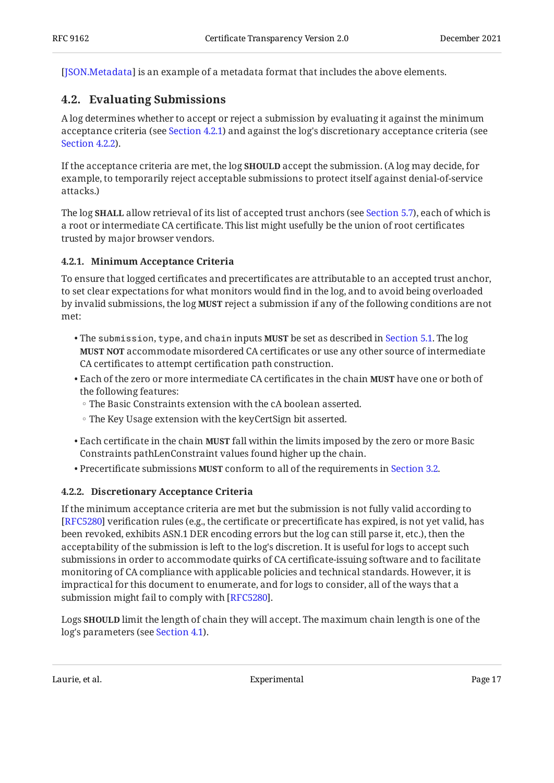<span id="page-16-0"></span>[[JSON.Metadata\]](#page-49-3) is an example of a metadata format that includes the above elements.

### **[4.2. Evaluating Submissions](#page-16-0)**

A log determines whether to accept or reject a submission by evaluating it against the minimum acceptance criteria (see [Section 4.2.1](#page-16-1)) and against the log's discretionary acceptance criteria (see [Section 4.2.2\)](#page-16-2).

If the acceptance criteria are met, the log **SHOULD** accept the submission. (A log may decide, for example, to temporarily reject acceptable submissions to protect itself against denial-of-service attacks.)

The log **SHALL** allow retrieval of its list of accepted trust anchors (see [Section 5.7\)](#page-30-0), each of which is a root or intermediate CA certificate. This list might usefully be the union of root certificates trusted by major browser vendors.

#### <span id="page-16-1"></span>**[4.2.1. Minimum Acceptance Criteria](#page-16-1)**

To ensure that logged certificates and precertificates are attributable to an accepted trust anchor, to set clear expectations for what monitors would find in the log, and to avoid being overloaded by invalid submissions, the log **MUST** reject a submission if any of the following conditions are not met:

- The submission, type, and chain inputs **MUST** be set as described in [Section 5.1](#page-25-0). The log **MUST NOT** accommodate misordered CA certificates or use any other source of intermediate CA certificates to attempt certification path construction.
- Each of the zero or more intermediate CA certificates in the chain **MUST** have one or both of the following features:
	- The Basic Constraints extension with the cA boolean asserted. ◦
	- The Key Usage extension with the keyCertSign bit asserted. ◦
- Each certificate in the chain **MUST** fall within the limits imposed by the zero or more Basic Constraints pathLenConstraint values found higher up the chain.
- <span id="page-16-2"></span>• Precertificate submissions MUST conform to all of the requirements in [Section 3.2](#page-13-1).

#### **[4.2.2. Discretionary Acceptance Criteria](#page-16-2)**

If the minimum acceptance criteria are met but the submission is not fully valid according to [[RFC5280\]](#page-47-1) verification rules (e.g., the certificate or precertificate has expired, is not yet valid, has been revoked, exhibits ASN.1 DER encoding errors but the log can still parse it, etc.), then the acceptability of the submission is left to the log's discretion. It is useful for logs to accept such submissions in order to accommodate quirks of CA certificate-issuing software and to facilitate monitoring of CA compliance with applicable policies and technical standards. However, it is impractical for this document to enumerate, and for logs to consider, all of the ways that a submission might fail to comply with [\[RFC5280](#page-47-1)].

Logs **SHOULD** limit the length of chain they will accept. The maximum chain length is one of the log's parameters (see [Section 4.1](#page-15-0)).

Laurie, et al. Experimental Page 17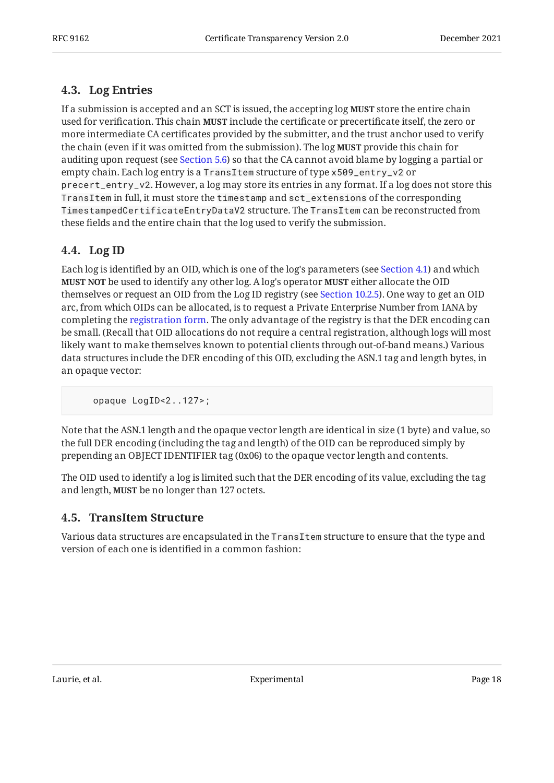### <span id="page-17-0"></span>**[4.3. Log Entries](#page-17-0)**

If a submission is accepted and an SCT is issued, the accepting log **MUST** store the entire chain used for verification. This chain **MUST** include the certificate or precertificate itself, the zero or more intermediate CA certificates provided by the submitter, and the trust anchor used to verify the chain (even if it was omitted from the submission). The log **MUST** provide this chain for auditing upon request (see [Section 5.6](#page-29-0)) so that the CA cannot avoid blame by logging a partial or empty chain. Each log entry is a TransItem structure of type x509\_entry\_v2 or precert\_entry\_v2. However, a log may store its entries in any format. If a log does not store this TransItem in full, it must store the timestamp and sct\_extensions of the corresponding TimestampedCertificateEntryDataV2 structure. The TransItem can be reconstructed from these fields and the entire chain that the log used to verify the submission.

### <span id="page-17-1"></span>**[4.4. Log ID](#page-17-1)**

Each log is identified by an OID, which is one of the log's parameters (see [Section 4.1](#page-15-0)) and which **MUST NOT** be used to identify any other log. A log's operator **MUST** either allocate the OID themselves or request an OID from the Log ID registry (see [Section 10.2.5](#page-42-1)). One way to get an OID arc, from which OIDs can be allocated, is to request a Private Enterprise Number from IANA by completing the [registration form](https://pen.iana.org/pen/PenApplication.page). The only advantage of the registry is that the DER encoding can be small. (Recall that OID allocations do not require a central registration, although logs will most likely want to make themselves known to potential clients through out-of-band means.) Various data structures include the DER encoding of this OID, excluding the ASN.1 tag and length bytes, in an opaque vector:

opaque LogID<2..127>;

Note that the ASN.1 length and the opaque vector length are identical in size (1 byte) and value, so the full DER encoding (including the tag and length) of the OID can be reproduced simply by prepending an OBJECT IDENTIFIER tag (0x06) to the opaque vector length and contents.

The OID used to identify a log is limited such that the DER encoding of its value, excluding the tag and length, **MUST** be no longer than 127 octets.

### <span id="page-17-2"></span>**[4.5. TransItem Structure](#page-17-2)**

Various data structures are encapsulated in the TransItem structure to ensure that the type and version of each one is identified in a common fashion: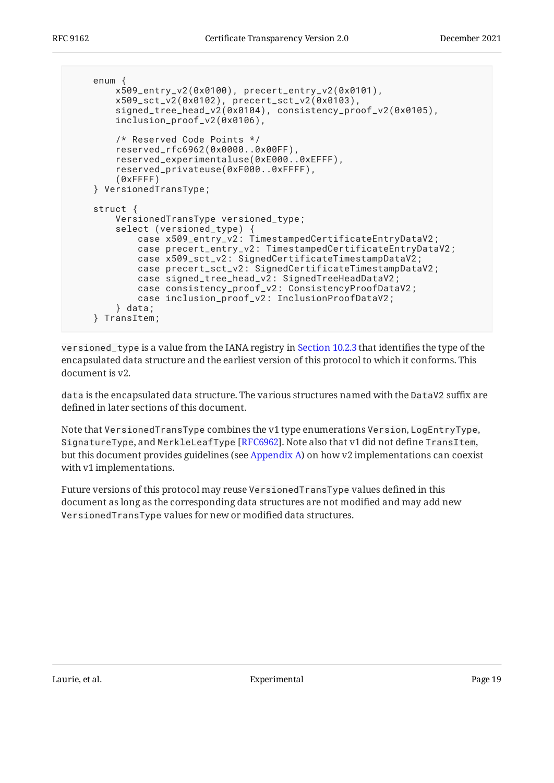```
 enum {
         x509_entry_v2(0x0100), precert_entry_v2(0x0101),
 x509_sct_v2(0x0102), precert_sct_v2(0x0103),
 signed_tree_head_v2(0x0104), consistency_proof_v2(0x0105),
         inclusion_proof_v2(0x0106),
         /* Reserved Code Points */
         reserved_rfc6962(0x0000..0x00FF),
         reserved_experimentaluse(0xE000..0xEFFF),
         reserved_privateuse(0xF000..0xFFFF),
         (0xFFFF)
     } VersionedTransType;
    struct {
         VersionedTransType versioned_type;
         select (versioned_type) {
             case x509_entry_v2: TimestampedCertificateEntryDataV2;
             case precert_entry_v2: TimestampedCertificateEntryDataV2;
             case x509_sct_v2: SignedCertificateTimestampDataV2;
            case precert sct v2: SignedCertificateTimestampDataV2:
             case signed_tree_head_v2: SignedTreeHeadDataV2;
             case consistency_proof_v2: ConsistencyProofDataV2;
             case inclusion_proof_v2: InclusionProofDataV2;
         } data;
     } TransItem;
```
versioned\_type is a value from the IANA registry in [Section 10.2.3](#page-41-0) that identifies the type of the encapsulated data structure and the earliest version of this protocol to which it conforms. This document is v2.

data is the encapsulated data structure. The various structures named with the DataV2 suffix are defined in later sections of this document.

Note that VersionedTransType combines the v1 type enumerations Version, LogEntryType, SignatureType, and <code>MerkleLeafType</code> [RFC6962]. Note also that v1 did not define <code>TransItem</code>, but this document provides guidelines (see [Appendix A\)](#page-49-0) on how v2 implementations can coexist with v1 implementations.

Future versions of this protocol may reuse VersionedTransType values defined in this document as long as the corresponding data structures are not modified and may add new VersionedTransType values for new or modified data structures.

Laurie, et al. Experimental Page 19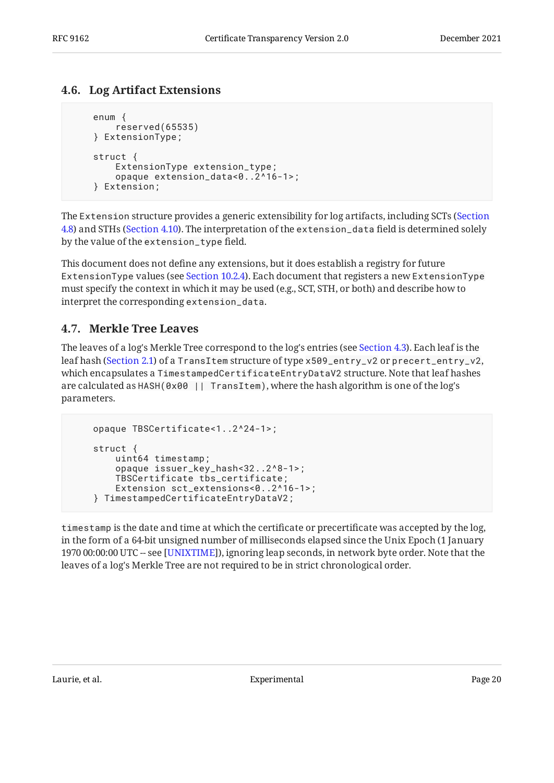### <span id="page-19-0"></span>**[4.6. Log Artifact Extensions](#page-19-0)**

```
 enum {
     reserved(65535)
 } ExtensionType;
 struct {
     ExtensionType extension_type;
     opaque extension_data<0..2^16-1>;
 } Extension;
```
The Extension structure provides a generic extensibility for log artifacts, including SCTs ([Section](#page-20-0) [4.8\)](#page-20-0) and STHs ([Section 4.10\)](#page-21-0). The interpretation of the extension\_data field is determined solely by the value of the extension\_type field.

This document does not define any extensions, but it does establish a registry for future ExtensionType values (see [Section 10.2.4](#page-42-0)). Each document that registers a new ExtensionType must specify the context in which it may be used (e.g., SCT, STH, or both) and describe how to interpret the corresponding extension\_data.

### <span id="page-19-1"></span>**[4.7. Merkle Tree Leaves](#page-19-1)**

The leaves of a log's Merkle Tree correspond to the log's entries (see [Section 4.3](#page-17-0)). Each leaf is the leaf hash ([Section 2.1\)](#page-6-1) of a TransItem structure of type x509\_entry\_v2 or precert\_entry\_v2, which encapsulates a TimestampedCertificateEntryDataV2 structure. Note that leaf hashes are calculated as HASH(0x00 || TransItem), where the hash algorithm is one of the log's parameters.

```
 opaque TBSCertificate<1..2^24-1>;
 struct {
     uint64 timestamp;
     opaque issuer_key_hash<32..2^8-1>;
     TBSCertificate tbs_certificate;
     Extension sct_extensions<0..2^16-1>;
 } TimestampedCertificateEntryDataV2;
```
timestamp is the date and time at which the certificate or precertificate was accepted by the log, in the form of a 64-bit unsigned number of milliseconds elapsed since the Unix Epoch (1 January 1970 00:00:00 UTC -- see [UNIXTIME]), ignoring leap seconds, in network byte order. Note that the leaves of a log's Merkle Tree are not required to be in strict chronological order.

Laurie, et al. No. 2016 and Experimental Experimental Page 20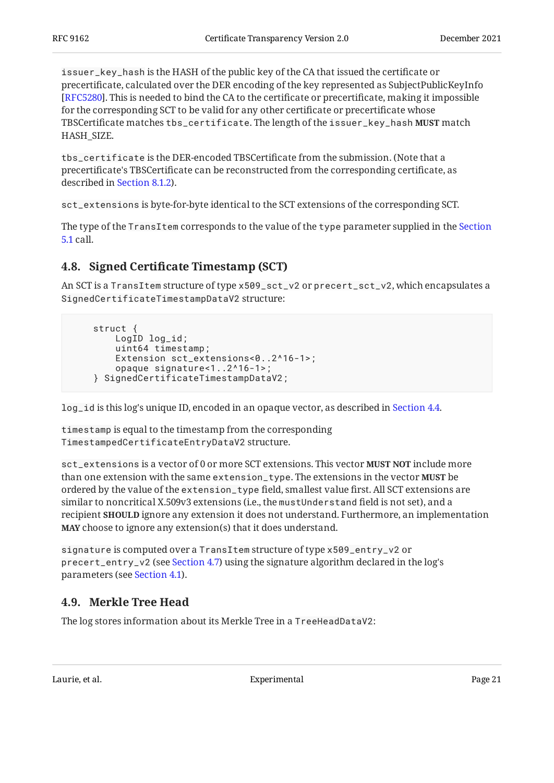issuer\_key\_hash is the HASH of the public key of the CA that issued the certificate or precertificate, calculated over the DER encoding of the key represented as SubjectPublicKeyInfo . This is needed to bind the CA to the certificate or precertificate, making it impossible [[RFC5280\]](#page-47-1) for the corresponding SCT to be valid for any other certificate or precertificate whose <code>TBSCertificate</code> matches <code>tbs\_certificate</code>. The length of the <code>issuer\_key\_hash</code> <code>MUST</code> match HASH\_SIZE.

tbs\_certificate is the DER-encoded TBSCertificate from the submission. (Note that a precertificate's TBSCertificate can be reconstructed from the corresponding certificate, as described in [Section 8.1.2\)](#page-34-5).

sct\_extensions is byte-for-byte identical to the SCT extensions of the corresponding SCT.

The type of the TransItem corresponds to the value of the type parameter supplied in the [Section](#page-25-0) [5.1](#page-25-0) call.

### <span id="page-20-0"></span>**[4.8. S](#page-20-0)igned Certifi[cate Timestamp \(SCT\)](#page-20-0)**

An SCT is a TransItem structure of type x509\_sct\_v2 or precert\_sct\_v2, which encapsulates a SignedCertificateTimestampDataV2 structure:

```
 struct {
     LogID log_id;
     uint64 timestamp;
     Extension sct_extensions<0..2^16-1>;
     opaque signature<1..2^16-1>;
 } SignedCertificateTimestampDataV2;
```
log\_id is this log's unique ID, encoded in an opaque vector, as described in [Section 4.4](#page-17-1).

timestamp is equal to the timestamp from the corresponding TimestampedCertificateEntryDataV2 structure.

sct\_extensions is a vector of 0 or more SCT extensions. This vector **MUST NOT** include more than one extension with the same extension\_type. The extensions in the vector **MUST** be ordered by the value of the extension\_type field, smallest value first. All SCT extensions are similar to noncritical X.509v3 extensions (i.e., the mustUnderstand field is not set), and a recipient **SHOULD** ignore any extension it does not understand. Furthermore, an implementation **MAY** choose to ignore any extension(s) that it does understand.

signature is computed over a TransItem structure of type x509\_entry\_v2 or precert\_entry\_v2 (see [Section 4.7](#page-19-1)) using the signature algorithm declared in the log's parameters (see [Section 4.1\)](#page-15-0).

### <span id="page-20-1"></span>**[4.9. Merkle Tree Head](#page-20-1)**

The log stores information about its Merkle Tree in a TreeHeadDataV2:

Laurie, et al. No. 2016. In the experimental Experimental Page 21 and Page 21 and Page 21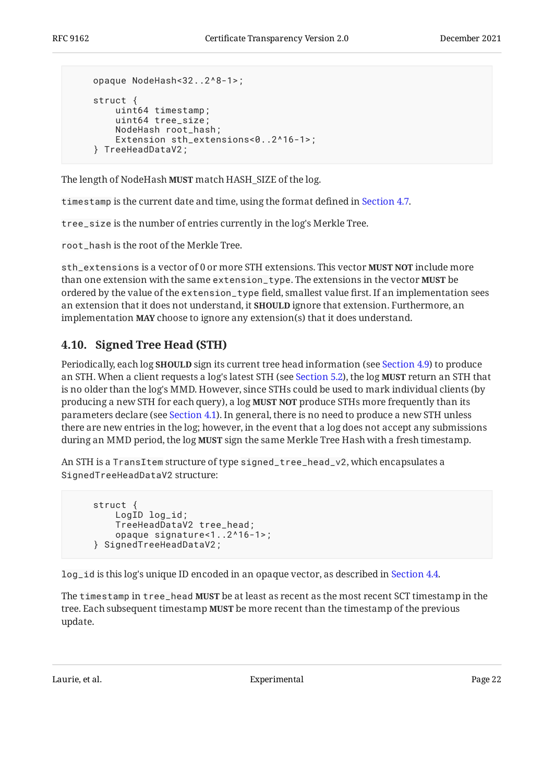```
 opaque NodeHash<32..2^8-1>;
 struct {
     uint64 timestamp;
     uint64 tree_size;
     NodeHash root_hash;
     Extension sth_extensions<0..2^16-1>;
 } TreeHeadDataV2;
```
The length of NodeHash MUST match HASH\_SIZE of the log.

timestamp is the current date and time, using the format defined in [Section 4.7](#page-19-1).

tree\_size is the number of entries currently in the log's Merkle Tree.

root\_hash is the root of the Merkle Tree.

sth\_extensions is a vector of 0 or more STH extensions. This vector **MUST NOT** include more than one extension with the same extension\_type. The extensions in the vector **MUST** be ordered by the value of the extension\_type field, smallest value first. If an implementation sees an extension that it does not understand, it **SHOULD** ignore that extension. Furthermore, an implementation **MAY** choose to ignore any extension(s) that it does understand.

### <span id="page-21-0"></span>**[4.10. Signed Tree Head \(STH\)](#page-21-0)**

Periodically, each log **SHOULD** sign its current tree head information (see [Section 4.9](#page-20-1)) to produce an STH. When a client requests a log's latest STH (see [Section 5.2](#page-26-0)), the log **MUST** return an STH that is no older than the log's MMD. However, since STHs could be used to mark individual clients (by producing a new STH for each query), a log **MUST NOT** produce STHs more frequently than its parameters declare (see [Section 4.1](#page-15-0)). In general, there is no need to produce a new STH unless there are new entries in the log; however, in the event that a log does not accept any submissions during an MMD period, the log **MUST** sign the same Merkle Tree Hash with a fresh timestamp.

An STH is a TransItem structure of type signed\_tree\_head\_v2, which encapsulates a SignedTreeHeadDataV2 structure:

```
 struct {
     LogID log_id;
     TreeHeadDataV2 tree_head;
     opaque signature<1..2^16-1>;
 } SignedTreeHeadDataV2;
```
log\_id is this log's unique ID encoded in an opaque vector, as described in [Section 4.4.](#page-17-1)

The timestamp in tree\_head **MUST** be at least as recent as the most recent SCT timestamp in the tree. Each subsequent timestamp **MUST** be more recent than the timestamp of the previous update.

Laurie, et al. No. 22 and 22 Experimental Page 22 and 22 and 23 and 23 and 23 Experimental Page 22 and 23 and 23 and 23 and 23 and 23 and 23 and 23 and 23 and 23 and 23 and 23 and 23 and 23 and 23 and 24 and 25 and 26 and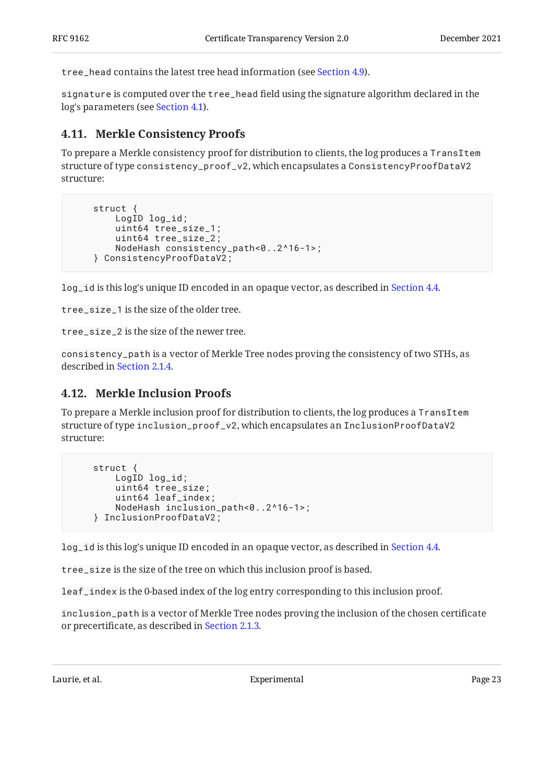tree head contains the latest tree head information (see [Section 4.9](#page-20-1)).

signature is computed over the tree\_head field using the signature algorithm declared in the log's parameters (see [Section 4.1](#page-15-0)).

### <span id="page-22-0"></span>**[4.11. Merkle Consistency Proofs](#page-22-0)**

To prepare a Merkle consistency proof for distribution to clients, the log produces a TransItem structure of type consistency\_proof\_v2, which encapsulates a ConsistencyProofDataV2 structure:

```
 struct {
     LogID log_id;
     uint64 tree_size_1;
     uint64 tree_size_2;
     NodeHash consistency_path<0..2^16-1>;
 } ConsistencyProofDataV2;
```
log\_id is this log's unique ID encoded in an opaque vector, as described in [Section 4.4.](#page-17-1)

tree\_size\_1 is the size of the older tree.

tree\_size\_2 is the size of the newer tree.

consistency\_path is a vector of Merkle Tree nodes proving the consistency of two STHs, as described in [Section 2.1.4.](#page-9-0)

### <span id="page-22-1"></span>**[4.12. Merkle Inclusion Proofs](#page-22-1)**

To prepare a Merkle inclusion proof for distribution to clients, the log produces a TransItem structure of type inclusion\_proof\_v2, which encapsulates an InclusionProofDataV2 structure:

```
 struct {
     LogID log_id;
     uint64 tree_size;
     uint64 leaf_index;
     NodeHash inclusion_path<0..2^16-1>;
 } InclusionProofDataV2;
```
log\_id is this log's unique ID encoded in an opaque vector, as described in [Section 4.4.](#page-17-1)

tree\_size is the size of the tree on which this inclusion proof is based.

leaf\_index is the 0-based index of the log entry corresponding to this inclusion proof.

inclusion\_path is a vector of Merkle Tree nodes proving the inclusion of the chosen certificate or precertificate, as described in [Section 2.1.3](#page-8-0).

Laurie, et al. **Experimental** Experimental Page 23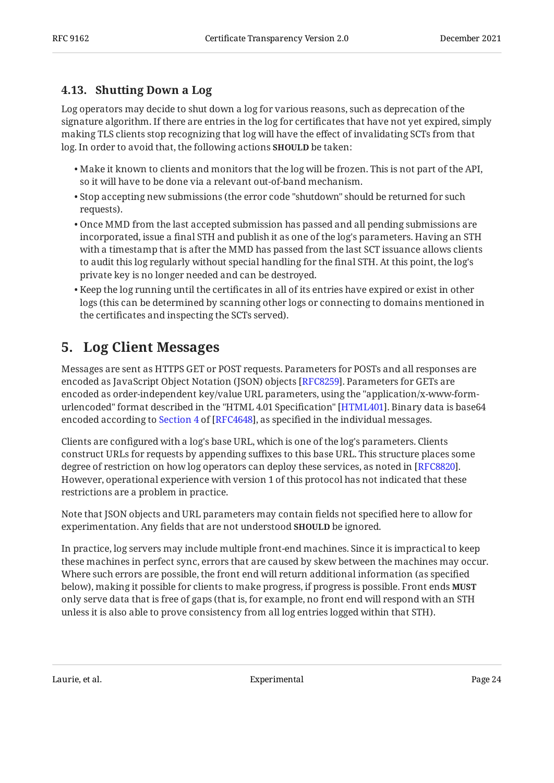### <span id="page-23-0"></span>**[4.13. Shutting Down a Log](#page-23-0)**

Log operators may decide to shut down a log for various reasons, such as deprecation of the signature algorithm. If there are entries in the log for certificates that have not yet expired, simply making TLS clients stop recognizing that log will have the effect of invalidating SCTs from that log. In order to avoid that, the following actions **SHOULD** be taken:

- $\bullet$  Make it known to clients and monitors that the log will be frozen. This is not part of the API, so it will have to be done via a relevant out-of-band mechanism.
- Stop accepting new submissions (the error code "shutdown" should be returned for such requests).
- Once MMD from the last accepted submission has passed and all pending submissions are incorporated, issue a final STH and publish it as one of the log's parameters. Having an STH with a timestamp that is after the MMD has passed from the last SCT issuance allows clients to audit this log regularly without special handling for the final STH. At this point, the log's private key is no longer needed and can be destroyed.
- $\bullet$  Keep the log running until the certificates in all of its entries have expired or exist in other logs (this can be determined by scanning other logs or connecting to domains mentioned in the certificates and inspecting the SCTs served).

## <span id="page-23-1"></span>**[5. Log Client Messages](#page-23-1)**

Messages are sent as HTTPS GET or POST requests. Parameters for POSTs and all responses are encoded as JavaScript Object Notation (JSON) objects [[RFC8259\]](#page-48-7). Parameters for GETs are encoded as order-independent key/value URL parameters, using the "application/x-www-formurlencoded" format described in the "HTML 4.01 Specification" [HTML401]. Binary data is base64 encodedaccording to Section 4 of [RFC4648], as specified in the individual messages.

Clients are configured with a log's base URL, which is one of the log's parameters. Clients construct URLs for requests by appending suffixes to this base URL. This structure places some degree of restriction on how log operators can deploy these services, as noted in [\[RFC8820\]](#page-49-4). However, operational experience with version 1 of this protocol has not indicated that these restrictions are a problem in practice.

Note that JSON objects and URL parameters may contain fields not specified here to allow for experimentation. Any fields that are not understood **SHOULD** be ignored.

In practice, log servers may include multiple front-end machines. Since it is impractical to keep these machines in perfect sync, errors that are caused by skew between the machines may occur. Where such errors are possible, the front end will return additional information (as specified below), making it possible for clients to make progress, if progress is possible. Front ends **MUST** only serve data that is free of gaps (that is, for example, no front end will respond with an STH unless it is also able to prove consistency from all log entries logged within that STH).

Laurie, et al. Experimental Page 24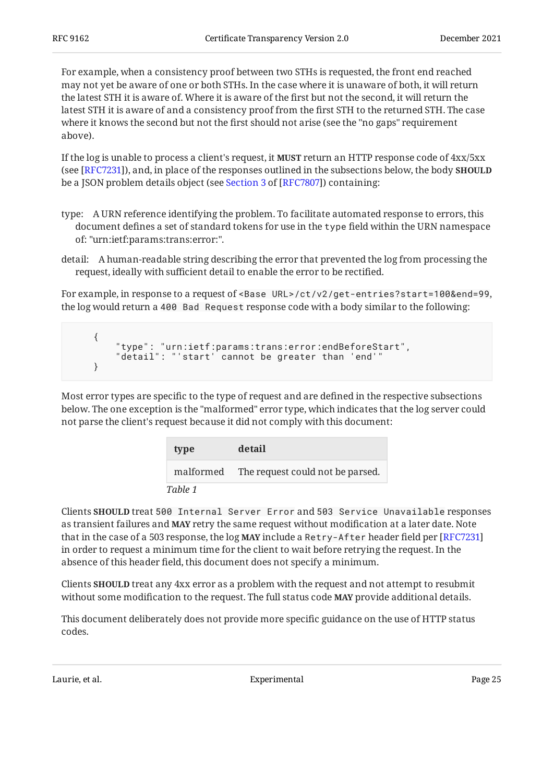For example, when a consistency proof between two STHs is requested, the front end reached may not yet be aware of one or both STHs. In the case where it is unaware of both, it will return the latest STH it is aware of. Where it is aware of the first but not the second, it will return the latest STH it is aware of and a consistency proof from the first STH to the returned STH. The case where it knows the second but not the first should not arise (see the "no gaps" requirement above).

If the log is unable to process a client's request, it **MUST** return an HTTP response code of  $4xx/5xx$ (see [RFC7231]), and, in place of the responses outlined in the subsections below, the body **SHOULD** bea JSON problem details object (see <u>Section 3</u> of [RFC7807]) containing:

- type: A URN reference identifying the problem. To facilitate automated response to errors, this document defines a set of standard tokens for use in the type field within the URN namespace of: "urn:ietf:params:trans:error:".
- detail: A human-readable string describing the error that prevented the log from processing the request, ideally with sufficient detail to enable the error to be rectified.

For example, in response to a request of <Base URL>/ct/v2/get-entries?start=100&end=99, the log would return a 400 Bad Request response code with a body similar to the following:

```
 {
     "type": "urn:ietf:params:trans:error:endBeforeStart",
     "detail": "'start' cannot be greater than 'end'"
 }
```
Most error types are specific to the type of request and are defined in the respective subsections below. The one exception is the "malformed" error type, which indicates that the log server could not parse the client's request because it did not comply with this document:

<span id="page-24-0"></span>

| type    | detail                                     |
|---------|--------------------------------------------|
|         | malformed The request could not be parsed. |
| Table 1 |                                            |

Clients SHOULD treat 500 Internal Server Error and 503 Service Unavailable responses as transient failures and **MAY** retry the same request without modification at a later date. Note that in the case of a 503 response, the log MAY include a Retry-After header field per [\[RFC7231\]](#page-48-8) in order to request a minimum time for the client to wait before retrying the request. In the absence of this header field, this document does not specify a minimum.

Clients **SHOULD** treat any 4xx error as a problem with the request and not attempt to resubmit without some modification to the request. The full status code **MAY** provide additional details.

This document deliberately does not provide more specific guidance on the use of HTTP status codes.

Laurie, et al. No. 2016 and Experimental Page 25 and Page 25 and Page 25 and Page 25 and Page 25 and Page 25 and Page 25 and Page 25 and Page 25 and Page 25 and Page 25 and Page 25 and Page 25 and Page 25 and Page 25 and P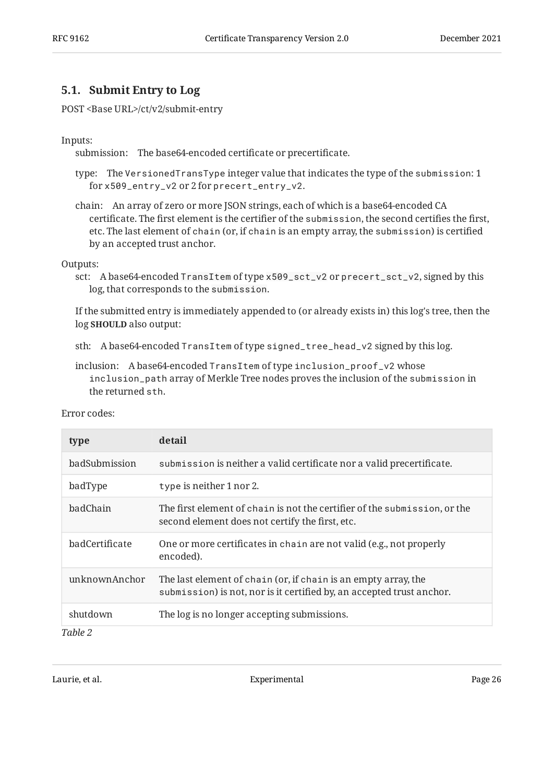### <span id="page-25-0"></span>**[5.1. Submit Entry to Log](#page-25-0)**

POST <Base URL>/ct/v2/submit-entry

#### Inputs:

submission: The base64-encoded certificate or precertificate.

- type: The VersionedTransType integer value that indicates the type of the submission: 1 for x509\_entry\_v2 or 2 for precert\_entry\_v2.
- chain: An array of zero or more JSON strings, each of which is a base64-encoded CA certificate. The first element is the certifier of the submission, the second certifies the first, etc. The last element of chain (or, if chain is an empty array, the submission) is certified by an accepted trust anchor.

#### Outputs:

sct: A base64-encoded TransItem of type x509\_sct\_v2 or precert\_sct\_v2, signed by this log, that corresponds to the submission.

If the submitted entry is immediately appended to (or already exists in) this log's tree, then the log **SHOULD** also output:

- sth: A base64-encoded TransItem of type signed\_tree\_head\_v2 signed by this log.
- inclusion: A base64-encoded TransItem of type inclusion\_proof\_v2 whose inclusion\_path array of Merkle Tree nodes proves the inclusion of the submission in the returned sth.

<span id="page-25-1"></span>

| type           | detail                                                                                                                                  |
|----------------|-----------------------------------------------------------------------------------------------------------------------------------------|
| badSubmission  | submission is neither a valid certificate nor a valid precertificate.                                                                   |
| badType        | type is neither 1 nor 2.                                                                                                                |
| badChain       | The first element of chain is not the certifier of the submission, or the<br>second element does not certify the first, etc.            |
| badCertificate | One or more certificates in chain are not valid (e.g., not properly<br>encoded).                                                        |
| unknownAnchor  | The last element of chain (or, if chain is an empty array, the<br>submission) is not, nor is it certified by, an accepted trust anchor. |
| shutdown       | The log is no longer accepting submissions.                                                                                             |
| Table 2        |                                                                                                                                         |

Error codes:

Laurie, et al. **Experimental** Experimental Page 26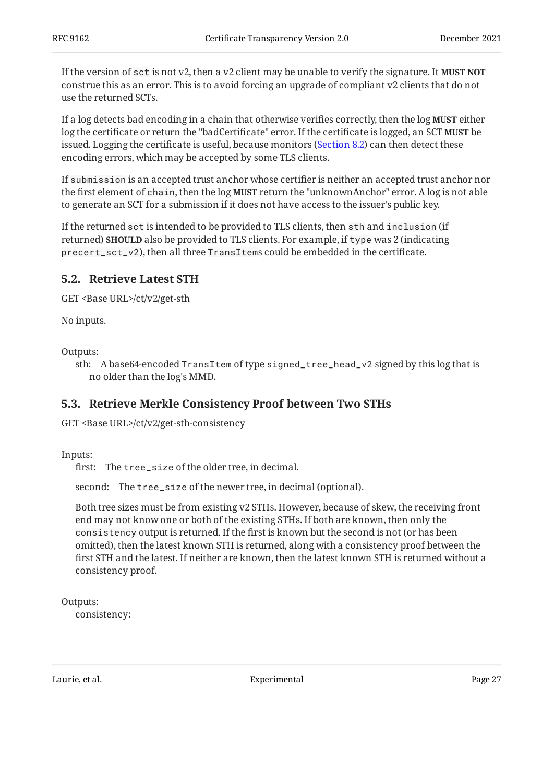If the version of sct is not v2, then a v2 client may be unable to verify the signature. It **MUST NOT** construe this as an error. This is to avoid forcing an upgrade of compliant v2 clients that do not use the returned SCTs.

If a log detects bad encoding in a chain that otherwise verifies correctly, then the log **MUST** either log the certificate or return the "badCertificate" error. If the certificate is logged, an SCT **MUST** be issued. Logging the certificate is useful, because monitors ([Section 8.2](#page-36-1)) can then detect these encoding errors, which may be accepted by some TLS clients.

If submission is an accepted trust anchor whose certifier is neither an accepted trust anchor nor the first element of chain, then the log **MUST** return the "unknownAnchor" error. A log is not able to generate an SCT for a submission if it does not have access to the issuer's public key.

If the returned sct is intended to be provided to TLS clients, then sth and inclusion (if **returned) SHOULD** also be provided to TLS clients. For example, if <code>type</code> was 2 (indicating precert\_sct\_v2), then all three TransItems could be embedded in the certificate.

### <span id="page-26-0"></span>**[5.2. Retrieve Latest STH](#page-26-0)**

GET <Base URL>/ct/v2/get-sth

No inputs.

Outputs:

sth: A base64-encoded TransItem of type signed\_tree\_head\_v2 signed by this log that is no older than the log's MMD.

### <span id="page-26-1"></span>**[5.3. Retrieve Merkle Consistency Proof between Two STHs](#page-26-1)**

GET <Base URL>/ct/v2/get-sth-consistency

Inputs:

first: The tree\_size of the older tree, in decimal.

second: The tree\_size of the newer tree, in decimal (optional).

Both tree sizes must be from existing v2 STHs. However, because of skew, the receiving front end may not know one or both of the existing STHs. If both are known, then only the consistency output is returned. If the first is known but the second is not (or has been omitted), then the latest known STH is returned, along with a consistency proof between the first STH and the latest. If neither are known, then the latest known STH is returned without a consistency proof.

Outputs:

consistency:

Laurie, et al. No. 2016. In the contract experimental contract the contract of the Page 27 and 27 and 27 and 27 and 27 and 27 and 27 and 27 and 27 and 27 and 27 and 27 and 27 and 27 and 27 and 27 and 27 and 27 and 27 and 2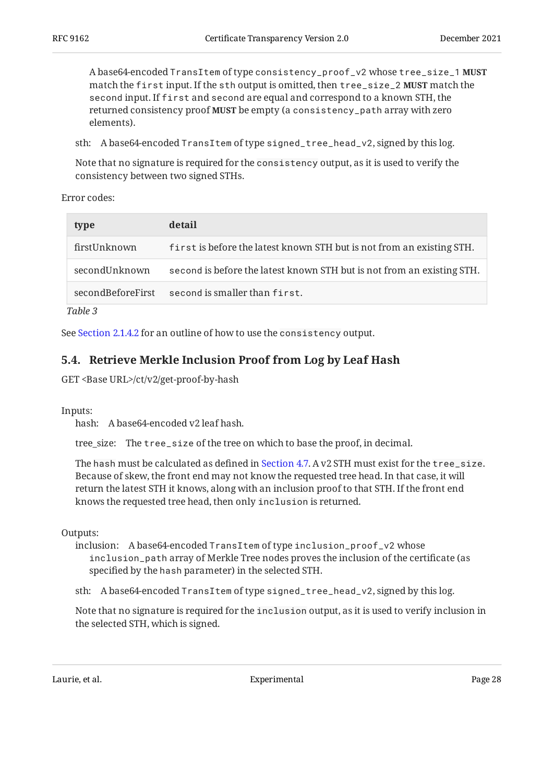A base64-encoded TransItem of type consistency\_proof\_v2 whose tree\_size\_1 **MUST** match the <code>first</code> input. If the <code>sth</code> output is omitted, then <code>tree\_size\_2</code> MUST match the second input. If first and second are equal and correspond to a known STH, the returned consistency proof **MUST** be empty (a consistency\_path array with zero elements).

sth: A base64-encoded TransItem of type signed\_tree\_head\_v2, signed by this log.

Note that no signature is required for the consistency output, as it is used to verify the consistency between two signed STHs.

Error codes:

<span id="page-27-1"></span>

| type              | detail                                                                 |
|-------------------|------------------------------------------------------------------------|
| firstUnknown      | first is before the latest known STH but is not from an existing STH.  |
| secondUnknown     | second is before the latest known STH but is not from an existing STH. |
| secondBeforeFirst | second is smaller than first.                                          |
|                   |                                                                        |

*[Table 3](#page-27-1)*

<span id="page-27-0"></span>See [Section 2.1.4.2](#page-10-0) for an outline of how to use the consistency output.

### **[5.4. Retrieve Merkle Inclusion Proof from Log by Leaf Hash](#page-27-0)**

GET <Base URL>/ct/v2/get-proof-by-hash

Inputs:

hash: A base64-encoded v2 leaf hash.

tree\_size: The tree\_size of the tree on which to base the proof, in decimal.

The hash must be calculated as defined in [Section 4.7](#page-19-1). A v2 STH must exist for the tree\_size. Because of skew, the front end may not know the requested tree head. In that case, it will return the latest STH it knows, along with an inclusion proof to that STH. If the front end knows the requested tree head, then only inclusion is returned.

Outputs:

inclusion: A base64-encoded TransItem of type inclusion\_proof\_v2 whose inclusion\_path array of Merkle Tree nodes proves the inclusion of the certificate (as specified by the hash parameter) in the selected STH.

sth: A base64-encoded TransItem of type signed\_tree\_head\_v2, signed by this log.

Note that no signature is required for the inclusion output, as it is used to verify inclusion in the selected STH, which is signed.

Laurie, et al. **Experimental** Experimental Page 28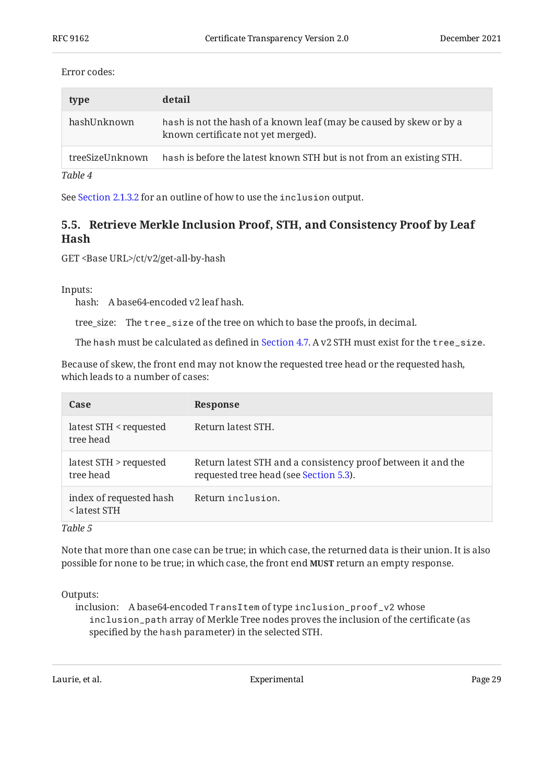#### Error codes:

<span id="page-28-1"></span>

| type            | detail                                                                                                    |
|-----------------|-----------------------------------------------------------------------------------------------------------|
| hashUnknown     | hash is not the hash of a known leaf (may be caused by skew or by a<br>known certificate not yet merged). |
| treeSizeUnknown | hash is before the latest known STH but is not from an existing STH.                                      |
| Table 4         |                                                                                                           |

<span id="page-28-0"></span>See [Section 2.1.3.2](#page-8-2) for an outline of how to use the inclusion output.

### **[5.5. Retrieve Merkle Inclusion Proof, STH, and Consistency Proof by Leaf](#page-28-0) [Hash](#page-28-0)**

GET <Base URL>/ct/v2/get-all-by-hash

Inputs:

hash: A base64-encoded v2 leaf hash.

tree\_size: The tree\_size of the tree on which to base the proofs, in decimal.

The hash must be calculated as defined in [Section 4.7](#page-19-1). A v2 STH must exist for the tree\_size.

Because of skew, the front end may not know the requested tree head or the requested hash, which leads to a number of cases:

<span id="page-28-2"></span>

| <b>Case</b>                                                                          | Response                                                                                               |
|--------------------------------------------------------------------------------------|--------------------------------------------------------------------------------------------------------|
| latest STH < requested<br>tree head                                                  | Return latest STH.                                                                                     |
| latest STH > requested<br>tree head                                                  | Return latest STH and a consistency proof between it and the<br>requested tree head (see Section 5.3). |
| index of requested hash<br><latest sth<="" td=""><td>Return inclusion.</td></latest> | Return inclusion.                                                                                      |

*[Table 5](#page-28-2)*

Note that more than one case can be true; in which case, the returned data is their union. It is also possible for none to be true; in which case, the front end MUST return an empty response.

Outputs:

inclusion: A base64-encoded TransItem of type inclusion\_proof\_v2 whose inclusion\_path array of Merkle Tree nodes proves the inclusion of the certificate (as specified by the hash parameter) in the selected STH.

Laurie, et al. Experimental Page 29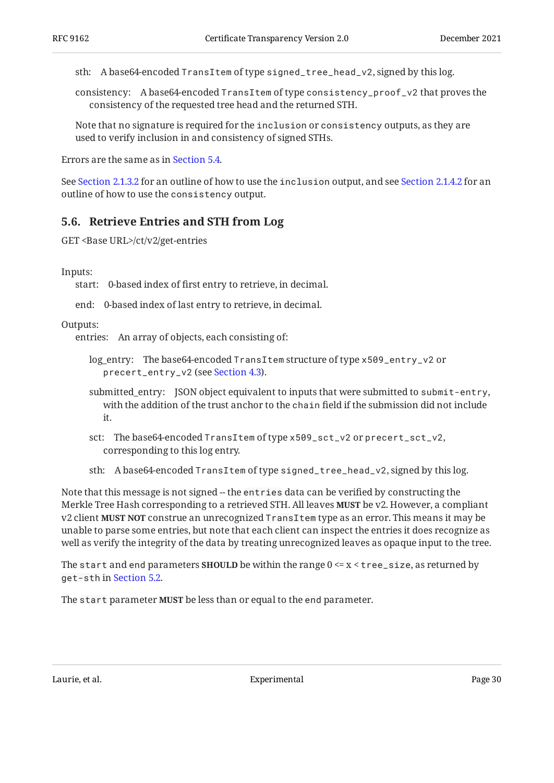sth: A base64-encoded TransItem of type signed\_tree\_head\_v2, signed by this log.

consistency: A base64-encoded TransItem of type consistency\_proof\_v2 that proves the consistency of the requested tree head and the returned STH.

Note that no signature is required for the inclusion or consistency outputs, as they are used to verify inclusion in and consistency of signed STHs.

Errors are the same as in [Section 5.4](#page-27-0).

See [Section 2.1.3.2](#page-8-2) for an outline of how to use the inclusion output, and see [Section 2.1.4.2](#page-10-0) for an outline of how to use the consistency output.

#### <span id="page-29-0"></span>**[5.6. Retrieve Entries and STH from Log](#page-29-0)**

```
GET <Base URL>/ct/v2/get-entries
```
#### Inputs:

start: 0-based index of first entry to retrieve, in decimal.

end: 0-based index of last entry to retrieve, in decimal.

Outputs:

entries: An array of objects, each consisting of:

- log\_entry: The base64-encoded TransItem structure of type x509\_entry\_v2 or precert\_entry\_v2 (see [Section 4.3](#page-17-0)).
- submitted\_entry: JSON object equivalent to inputs that were submitted to submit-entry, with the addition of the trust anchor to the chain field if the submission did not include it.
- sct: The base64-encoded TransItem of type x509\_sct\_v2 or precert\_sct\_v2, corresponding to this log entry.
- sth: A base64-encoded TransItem of type signed\_tree\_head\_v2, signed by this log.

Note that this message is not signed -- the entries data can be verified by constructing the Merkle Tree Hash corresponding to a retrieved STH. All leaves **MUST** be v2. However, a compliant <code>v2</code> client **MUST NOT** construe an unrecognized <code>TransItem</code> type as an error. This means it may be unable to parse some entries, but note that each client can inspect the entries it does recognize as well as verify the integrity of the data by treating unrecognized leaves as opaque input to the tree.

The  $\texttt{start}$  and end parameters  $\textbf{SHOULD}$  be within the range  $0 \leq x \leq \texttt{tree\_size},$  as returned by get-sth in [Section 5.2](#page-26-0).

The <code>start</code> parameter MUST be less than or equal to the end parameter.

Laurie, et al. **Experimental** Experimental Page 30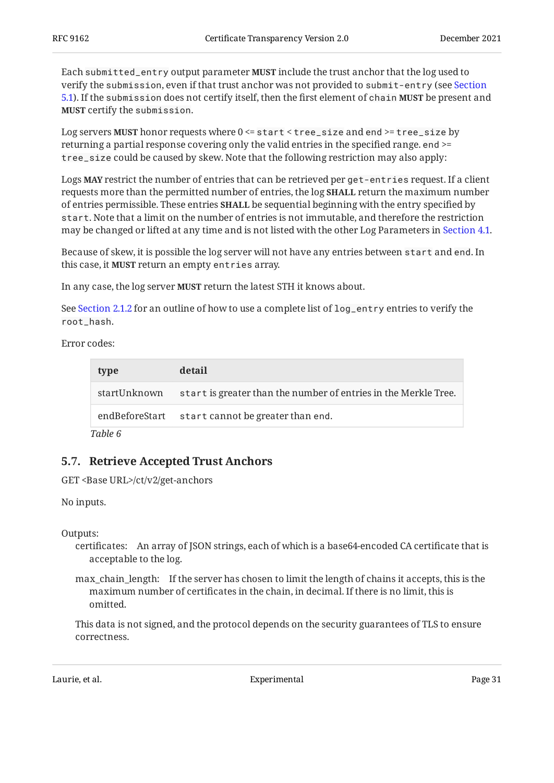Each submitted\_entry output parameter **MUST** include the trust anchor that the log used to verify the submission, even if that trust anchor was not provided to submit-entry (see [Section](#page-25-0) [5.1\)](#page-25-0). If the submission does not certify itself, then the first element of chain **MUST** be present and **MUST** certify the submission.

Log servers **MUST** honor requests where 0 <= start < tree\_size and end >= tree\_size by returning a partial response covering only the valid entries in the specified range. end >= tree\_size could be caused by skew. Note that the following restriction may also apply:

Logs **MAY** restrict the number of entries that can be retrieved per get-entries request. If a client requests more than the permitted number of entries, the log **SHALL** return the maximum number of entries permissible. These entries **SHALL** be sequential beginning with the entry specified by start. Note that a limit on the number of entries is not immutable, and therefore the restriction may be changed or lifted at any time and is not listed with the other Log Parameters in [Section 4.1](#page-15-0).

Because of skew, it is possible the log server will not have any entries between start and end. In this case, it **MUST** return an empty entries array.

In any case, the log server **MUST** return the latest STH it knows about.

See [Section 2.1.2](#page-7-0) for an outline of how to use a complete list of log\_entry entries to verify the root\_hash.

Error codes:

<span id="page-30-1"></span>

| type         | detail                                                          |
|--------------|-----------------------------------------------------------------|
| startUnknown | start is greater than the number of entries in the Merkle Tree. |
|              | endBeforeStart start cannot be greater than end.                |
| Table 6      |                                                                 |

### <span id="page-30-0"></span>**[5.7. Retrieve Accepted Trust Anchors](#page-30-0)**

GET <Base URL>/ct/v2/get-anchors

No inputs.

Outputs:

certificates: An array of JSON strings, each of which is a base64-encoded CA certificate that is acceptable to the log.

max\_chain\_length: If the server has chosen to limit the length of chains it accepts, this is the maximum number of certificates in the chain, in decimal. If there is no limit, this is omitted.

This data is not signed, and the protocol depends on the security guarantees of TLS to ensure correctness.

Laurie, et al. **Experimental** Experimental Page 31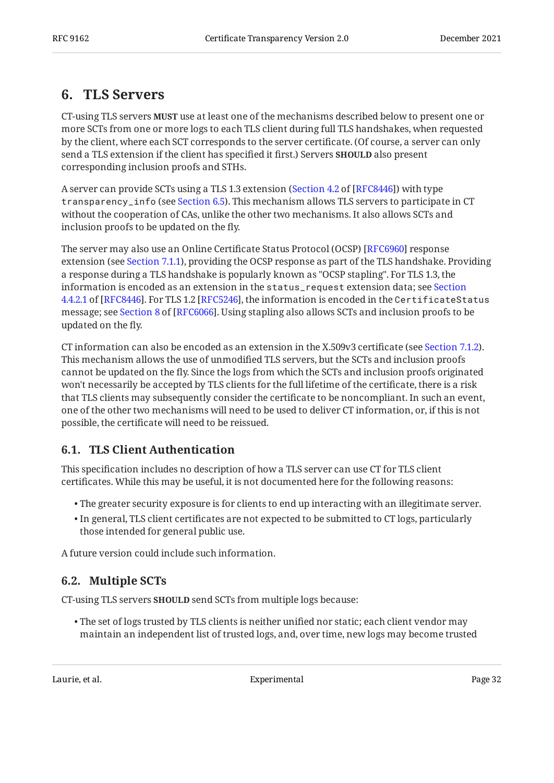## <span id="page-31-0"></span>**[6. TLS Servers](#page-31-0)**

CT-using TLS servers **MUST** use at least one of the mechanisms described below to present one or more SCTs from one or more logs to each TLS client during full TLS handshakes, when requested by the client, where each SCT corresponds to the server certificate. (Of course, a server can only send a TLS extension if the client has specified it first.) Servers **SHOULD** also present corresponding inclusion proofs and STHs.

A server can provide SCTs using a TLS 1.3 extension ([Section 4.2](https://www.rfc-editor.org/rfc/rfc8446#section-4.2) of [\[RFC8446](#page-48-3)]) with type transparency\_info (see [Section 6.5](#page-33-0)). This mechanism allows TLS servers to participate in CT without the cooperation of CAs, unlike the other two mechanisms. It also allows SCTs and inclusion proofs to be updated on the fly.

The server may also use an Online Certificate Status Protocol (OCSP) [RFC6960] response extension (see [Section 7.1.1](#page-33-3)), providing the OCSP response as part of the TLS handshake. Providing a response during a TLS handshake is popularly known as "OCSP stapling". For TLS 1.3, the information is encoded as an extension in the status\_request extension data; see [Section](https://www.rfc-editor.org/rfc/rfc8446#section-4.4.2.1)  $4.4.2.1$  of [[RFC8446\]](#page-48-3). For TLS 1.2 [RFC5246], the information is encoded in the <code>CertificateStatus</code> message;see Section 8 of [RFC6066]. Using stapling also allows SCTs and inclusion proofs to be updated on the fly.

CT information can also be encoded as an extension in the X.509v3 certificate (see [Section 7.1.2\)](#page-34-0). This mechanism allows the use of unmodified TLS servers, but the SCTs and inclusion proofs cannot be updated on the fly. Since the logs from which the SCTs and inclusion proofs originated won't necessarily be accepted by TLS clients for the full lifetime of the certificate, there is a risk that TLS clients may subsequently consider the certificate to be noncompliant. In such an event, one of the other two mechanisms will need to be used to deliver CT information, or, if this is not possible, the certificate will need to be reissued.

### <span id="page-31-1"></span>**[6.1. TLS Client Authentication](#page-31-1)**

This specification includes no description of how a TLS server can use CT for TLS client certificates. While this may be useful, it is not documented here for the following reasons:

- $\bullet$  The greater security exposure is for clients to end up interacting with an illegitimate server.
- $\bullet$  In general, TLS client certificates are not expected to be submitted to CT logs, particularly those intended for general public use.

<span id="page-31-2"></span>A future version could include such information.

### **[6.2. Multiple SCTs](#page-31-2)**

CT-using TLS servers **SHOULD** send SCTs from multiple logs because:

 $\bullet$  The set of logs trusted by TLS clients is neither unified nor static; each client vendor may maintain an independent list of trusted logs, and, over time, new logs may become trusted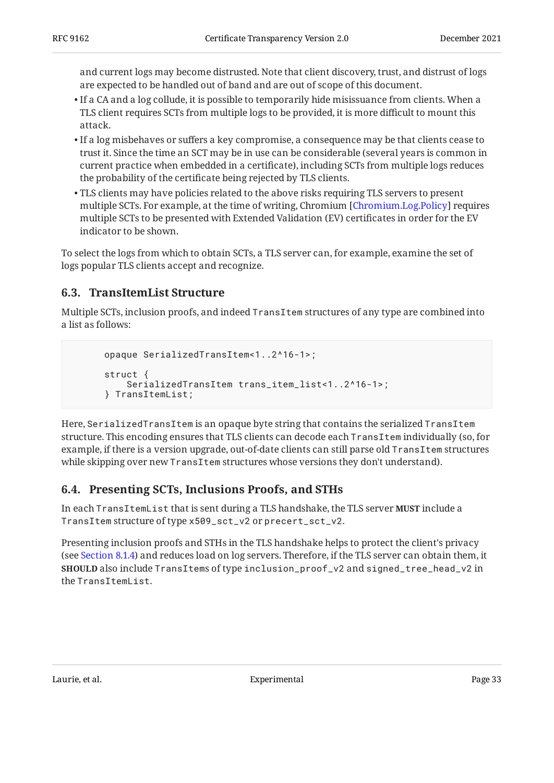and current logs may become distrusted. Note that client discovery, trust, and distrust of logs are expected to be handled out of band and are out of scope of this document.

- $\bullet$  If a CA and a log collude, it is possible to temporarily hide misissuance from clients. When a TLS client requires SCTs from multiple logs to be provided, it is more difficult to mount this attack.
- $\bullet$  If a log misbehaves or suffers a key compromise, a consequence may be that clients cease to trust it. Since the time an SCT may be in use can be considerable (several years is common in current practice when embedded in a certificate), including SCTs from multiple logs reduces the probability of the certificate being rejected by TLS clients.
- TLS clients may have policies related to the above risks requiring TLS servers to present multiple SCTs. For example, at the time of writing, Chromium [Chromium.Log.Policy] requires multiple SCTs to be presented with Extended Validation (EV) certificates in order for the EV indicator to be shown.

To select the logs from which to obtain SCTs, a TLS server can, for example, examine the set of logs popular TLS clients accept and recognize.

### <span id="page-32-0"></span>**[6.3. TransItemList Structure](#page-32-0)**

Multiple SCTs, inclusion proofs, and indeed TransItem structures of any type are combined into a list as follows:

```
 opaque SerializedTransItem<1..2^16-1>;
 struct {
    SerializedTransItem trans_item_list<1..2^16-1>;
 } TransItemList;
```
Here, SerializedTransItem is an opaque byte string that contains the serialized TransItem structure. This encoding ensures that TLS clients can decode each TransItem individually (so, for example, if there is a version upgrade, out-of-date clients can still parse old TransItem structures while skipping over new TransItem structures whose versions they don't understand).

### <span id="page-32-1"></span>**[6.4. Presenting SCTs, Inclusions Proofs, and STHs](#page-32-1)**

In each TransItemList that is sent during a TLS handshake, the TLS server include a **MUST** TransItem structure of type x509\_sct\_v2 or precert\_sct\_v2.

Presenting inclusion proofs and STHs in the TLS handshake helps to protect the client's privacy (see [Section 8.1.4\)](#page-35-1) and reduces load on log servers. Therefore, if the TLS server can obtain them, it <code>SHOULD</code> also include <code>TransItems</code> of type <code>inclusion\_proof\_v2</code> and <code>signed\_tree\_head\_v2</code> in the TransItemList.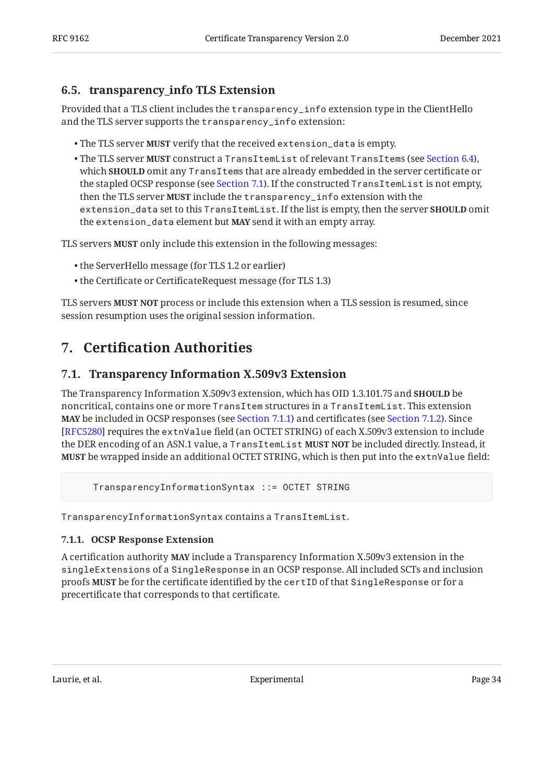### <span id="page-33-0"></span>**[6.5. transparency\\_info TLS Extension](#page-33-0)**

Provided that a TLS client includes the transparency\_info extension type in the ClientHello and the TLS server supports the transparency\_info extension:

- $\bullet$  The TLS server **MUST** verify that the received extension\_data is empty.
- $\bullet$  The TLS server **MUST** construct a <code>TransItemList</code> of relevant <code>TransItems</code> (see [Section 6.4\)](#page-32-1), which **SHOULD** omit any <code>TransItems</code> that are already embedded in the server certificate or the stapled OCSP response (see [Section 7.1](#page-33-2)). If the constructed TransItemList is not empty, then the TLS server **MUST** include the <code>transparency\_info</code> extension with the <code>extension\_data</code> set to this <code>TransItemList</code>. If the list is empty, then the server <code>SHOULD</code> <code>omit</code> the extension\_data element but MAY send it with an empty array.

TLS servers **MUST** only include this extension in the following messages:

- the ServerHello message (for TLS 1.2 or earlier) •
- the Certificate or CertificateRequest message (for TLS 1.3) •

<span id="page-33-1"></span>TLS servers **MUST NOT** process or include this extension when a TLS session is resumed, since session resumption uses the original session information.

## <span id="page-33-2"></span>**[7. C](#page-33-1)ertifi[cation Authorities](#page-33-1)**

### **[7.1. Transparency Information X.509v3 Extension](#page-33-2)**

The Transparency Information X.509v3 extension, which has OID 1.3.101.75 and **SHOULD** be noncritical, contains one or more TransItem structures in a TransItemList. This extension **MAY** be included in OCSP responses (see [Section 7.1.1\)](#page-33-3) and certificates (see [Section 7.1.2\)](#page-34-0). Since  $[{\rm RFC5280}]$  requires the extnValue field (an OCTET STRING) of each X.509v3 extension to include the DER encoding of an ASN.1 value, a <code>TransItemList</code> <code>MUST</code> <code>NOT</code> be included directly. Instead, it be wrapped inside an additional OCTET STRING, which is then put into the extnValue field: **MUST**

TransparencyInformationSyntax ::= OCTET STRING

<span id="page-33-3"></span>TransparencyInformationSyntax contains a TransItemList.

#### **[7.1.1. OCSP Response Extension](#page-33-3)**

A certification authority **MAY** include a Transparency Information X.509v3 extension in the singleExtensions of a SingleResponse in an OCSP response. All included SCTs and inclusion proofs be for the certificate identified by the certID of that SingleResponse or for a **MUST** precertificate that corresponds to that certificate.

Laurie, et al. No. 2016 19:34 Experimental Page 34 Australia Page 34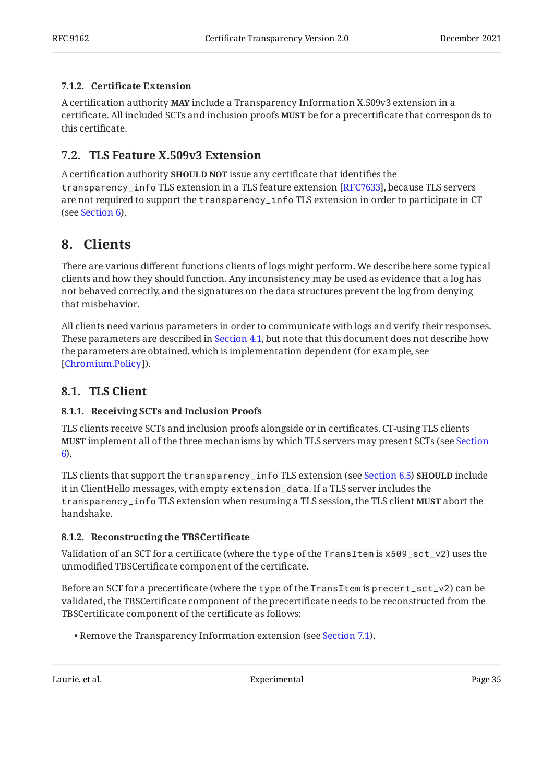#### <span id="page-34-0"></span>**[7.1.2. C](#page-34-0)ertifi[cate Extension](#page-34-0)**

A certification authority **MAY** include a Transparency Information X.509v3 extension in a certificate. All included SCTs and inclusion proofs **MUST** be for a precertificate that corresponds to this certificate.

### <span id="page-34-1"></span>**[7.2. TLS Feature X.509v3 Extension](#page-34-1)**

A certification authority **SHOULD NOT** issue any certificate that identifies the transparency\_info TLS extension in a TLS feature extension [RFC7633], because TLS servers are not required to support the transparency\_info TLS extension in order to participate in CT (see [Section 6\)](#page-31-0).

## <span id="page-34-2"></span>**[8. Clients](#page-34-2)**

There are various different functions clients of logs might perform. We describe here some typical clients and how they should function. Any inconsistency may be used as evidence that a log has not behaved correctly, and the signatures on the data structures prevent the log from denying that misbehavior.

All clients need various parameters in order to communicate with logs and verify their responses. These parameters are described in [Section 4.1](#page-15-0), but note that this document does not describe how the parameters are obtained, which is implementation dependent (for example, see [[Chromium.Policy](#page-49-5)]).

### <span id="page-34-4"></span><span id="page-34-3"></span>**[8.1. TLS Client](#page-34-3)**

### **[8.1.1. Receiving SCTs and Inclusion Proofs](#page-34-4)**

TLS clients receive SCTs and inclusion proofs alongside or in certificates. CT-using TLS clients implement all of the three mechanisms by which TLS servers may present SCTs (see [Section](#page-31-0) **MUST** [6](#page-31-0)).

TLS clients that support the transparency\_info TLS extension (see [Section 6.5](#page-33-0)) **SHOULD** include it in ClientHello messages, with empty extension\_data. If a TLS server includes the transparency\_info TLS extension when resuming a TLS session, the TLS client abort the **MUST** handshake.

### <span id="page-34-5"></span>**[8.1.2. Reconstructing the TBSCerti](#page-34-5)ficate**

Validation of an SCT for a certificate (where the type of the TransItem is x509\_sct\_v2) uses the unmodified TBSCertificate component of the certificate.

Before an SCT for a precertificate (where the type of the TransItem is precert\_sct\_v2) can be validated, the TBSCertificate component of the precertificate needs to be reconstructed from the TBSCertificate component of the certificate as follows:

• Remove the Transparency Information extension (see [Section 7.1](#page-33-2)).

Laurie, et al. No. 2016 and Experimental Page 35 and Page 35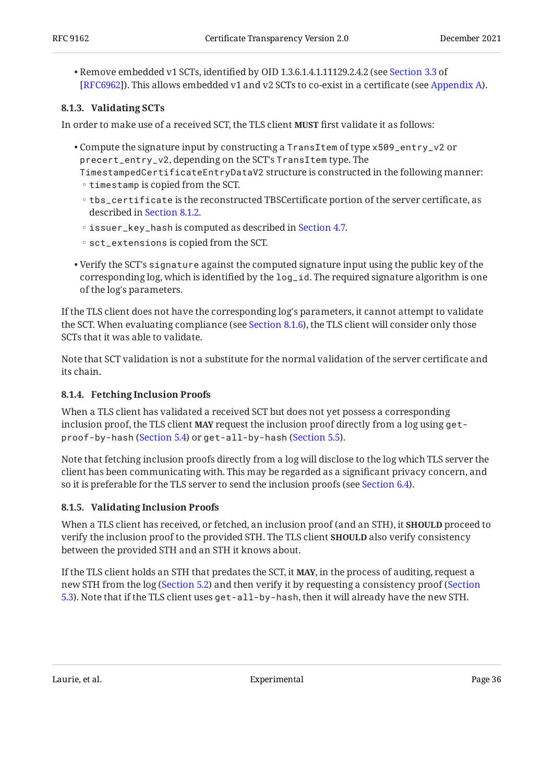Remove embedded v1 SCTs, identified by OID 1.3.6.1.4.1.11129.2.4.2 (see • [Section 3.3](https://www.rfc-editor.org/rfc/rfc6962#section-3.3) of ). This allows embedded v1 and v2 SCTs to co-exist in a certificate (see [Appendix A\)](#page-49-0). [[RFC6962\]](#page-49-1)

#### <span id="page-35-0"></span>**[8.1.3. Validating SCTs](#page-35-0)**

In order to make use of a received SCT, the TLS client **MUST** first validate it as follows:

Compute the signature input by constructing a TransItem of type x509\_entry\_v2 or • precert\_entry\_v2, depending on the SCT's TransItem type. The

TimestampedCertificateEntryDataV2 structure is constructed in the following manner:  $\circ$  timestamp is copied from the SCT.

- tbs\_certificate is the reconstructed TBSCertificate portion of the server certificate, as described in [Section 8.1.2.](#page-34-5)
- issuer\_key\_hash is computed as described in [Section 4.7](#page-19-1).
- sct\_extensions is copied from the SCT.
- $\bullet$  Verify the SCT's  $\mathop{\sf signature}\nolimits$  against the computed signature input using the public key of the corresponding log, which is identified by the log\_id. The required signature algorithm is one of the log's parameters.

If the TLS client does not have the corresponding log's parameters, it cannot attempt to validate the SCT. When evaluating compliance (see [Section 8.1.6\)](#page-36-0), the TLS client will consider only those SCTs that it was able to validate.

Note that SCT validation is not a substitute for the normal validation of the server certificate and its chain.

#### <span id="page-35-1"></span>**[8.1.4. Fetching Inclusion Proofs](#page-35-1)**

When a TLS client has validated a received SCT but does not yet possess a corresponding inclusion proof, the TLS client **MAY** request the inclusion proof directly from a log using get – proof-by-hash ([Section 5.4](#page-27-0)) or get-all-by-hash ([Section 5.5](#page-28-0)).

Note that fetching inclusion proofs directly from a log will disclose to the log which TLS server the client has been communicating with. This may be regarded as a significant privacy concern, and so it is preferable for the TLS server to send the inclusion proofs (see [Section 6.4](#page-32-1)).

#### <span id="page-35-2"></span>**[8.1.5. Validating Inclusion Proofs](#page-35-2)**

When a TLS client has received, or fetched, an inclusion proof (and an STH), it **SHOULD** proceed to verify the inclusion proof to the provided STH. The TLS client **SHOULD** also verify consistency between the provided STH and an STH it knows about.

If the TLS client holds an STH that predates the SCT, it **MAY**, in the process of auditing, request a new STH from the log ([Section 5.2](#page-26-0)) and then verify it by requesting a consistency proof [\(Section](#page-26-1) [5.3\)](#page-26-1). Note that if the TLS client uses get-all-by-hash, then it will already have the new STH.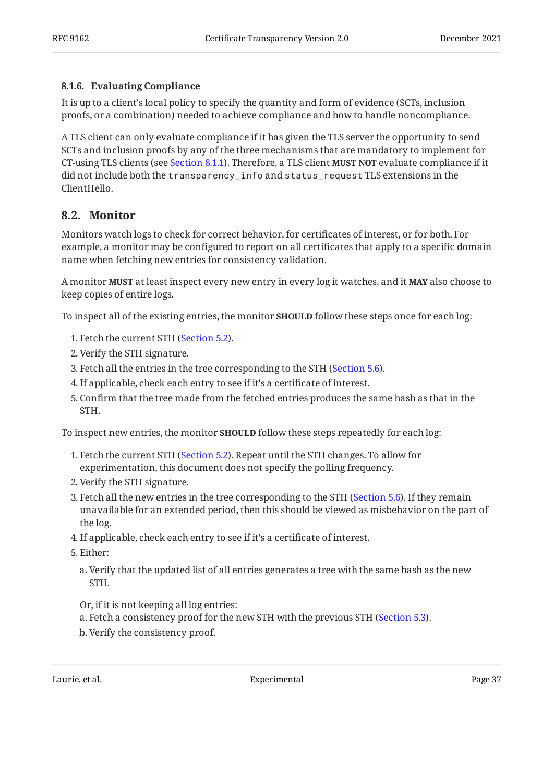#### <span id="page-36-0"></span>**[8.1.6. Evaluating Compliance](#page-36-0)**

It is up to a client's local policy to specify the quantity and form of evidence (SCTs, inclusion proofs, or a combination) needed to achieve compliance and how to handle noncompliance.

A TLS client can only evaluate compliance if it has given the TLS server the opportunity to send SCTs and inclusion proofs by any of the three mechanisms that are mandatory to implement for **CT-using TLS clients (see [Section 8.1.1\)](#page-34-4). Therefore, a TLS client <b>MUST NOT** evaluate compliance if it did not include both the transparency\_info and status\_request TLS extensions in the ClientHello.

### <span id="page-36-1"></span>**[8.2. Monitor](#page-36-1)**

Monitors watch logs to check for correct behavior, for certificates of interest, or for both. For example, a monitor may be configured to report on all certificates that apply to a specific domain name when fetching new entries for consistency validation.

**A** monitor **MUST** at least inspect every new entry in every log it watches, and it **MAY** also choose to keep copies of entire logs.

To inspect all of the existing entries, the monitor **SHOULD** follow these steps once for each log:

- 1. Fetch the current STH ([Section 5.2\)](#page-26-0).
- 2. Verify the STH signature.
- 3. Fetch all the entries in the tree corresponding to the STH [\(Section 5.6](#page-29-0)).
- If applicable, check each entry to see if it's a certificate of interest. 4.
- 5. Confirm that the tree made from the fetched entries produces the same hash as that in the STH.

To inspect new entries, the monitor **SHOULD** follow these steps repeatedly for each log:

- Fetch the current STH ([Section 5.2\)](#page-26-0). Repeat until the STH changes. To allow for 1. experimentation, this document does not specify the polling frequency.
- 2. Verify the STH signature.
- 3. Fetch all the new entries in the tree corresponding to the STH ([Section 5.6](#page-29-0)). If they remain unavailable for an extended period, then this should be viewed as misbehavior on the part of the log.
- If applicable, check each entry to see if it's a certificate of interest. 4.
- 5. Either:
	- a. Verify that the updated list of all entries generates a tree with the same hash as the new STH.

Or, if it is not keeping all log entries:

Fetch a consistency proof for the new STH with the previous STH ([Section 5.3](#page-26-1)). a.

b. Verify the consistency proof.

Laurie, et al. **Experimental** Experimental Page 37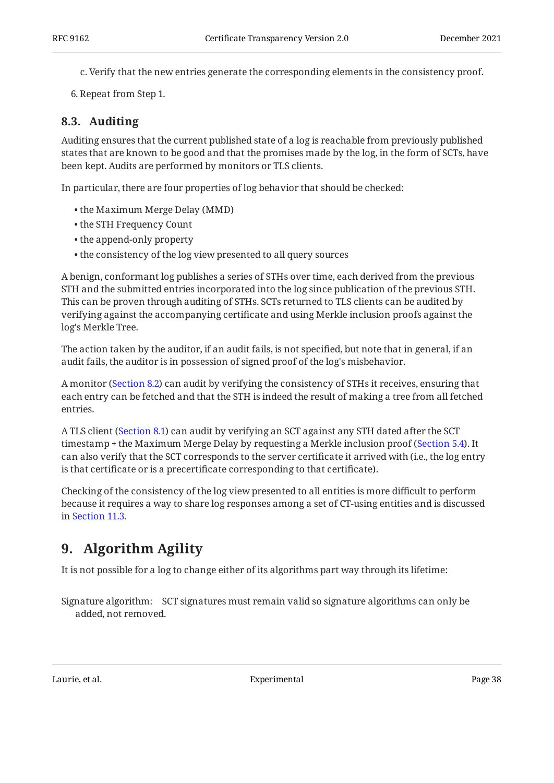- Verify that the new entries generate the corresponding elements in the consistency proof. c.
- <span id="page-37-0"></span>6. Repeat from Step 1.

### **[8.3. Auditing](#page-37-0)**

Auditing ensures that the current published state of a log is reachable from previously published states that are known to be good and that the promises made by the log, in the form of SCTs, have been kept. Audits are performed by monitors or TLS clients.

In particular, there are four properties of log behavior that should be checked:

- the Maximum Merge Delay (MMD) •
- the STH Frequency Count •
- the append-only property •
- the consistency of the log view presented to all query sources •

A benign, conformant log publishes a series of STHs over time, each derived from the previous STH and the submitted entries incorporated into the log since publication of the previous STH. This can be proven through auditing of STHs. SCTs returned to TLS clients can be audited by verifying against the accompanying certificate and using Merkle inclusion proofs against the log's Merkle Tree.

The action taken by the auditor, if an audit fails, is not specified, but note that in general, if an audit fails, the auditor is in possession of signed proof of the log's misbehavior.

A monitor ([Section 8.2\)](#page-36-1) can audit by verifying the consistency of STHs it receives, ensuring that each entry can be fetched and that the STH is indeed the result of making a tree from all fetched entries.

A TLS client [\(Section 8.1](#page-34-3)) can audit by verifying an SCT against any STH dated after the SCT timestamp + the Maximum Merge Delay by requesting a Merkle inclusion proof [\(Section 5.4](#page-27-0)). It can also verify that the SCT corresponds to the server certificate it arrived with (i.e., the log entry is that certificate or is a precertificate corresponding to that certificate).

Checking of the consistency of the log view presented to all entities is more difficult to perform because it requires a way to share log responses among a set of CT-using entities and is discussed in [Section 11.3.](#page-46-0)

## <span id="page-37-1"></span>**[9. Algorithm Agility](#page-37-1)**

It is not possible for a log to change either of its algorithms part way through its lifetime:

Signature algorithm: SCT signatures must remain valid so signature algorithms can only be added, not removed.

Laurie, et al. No. 2016 and Experimental Experimental Page 38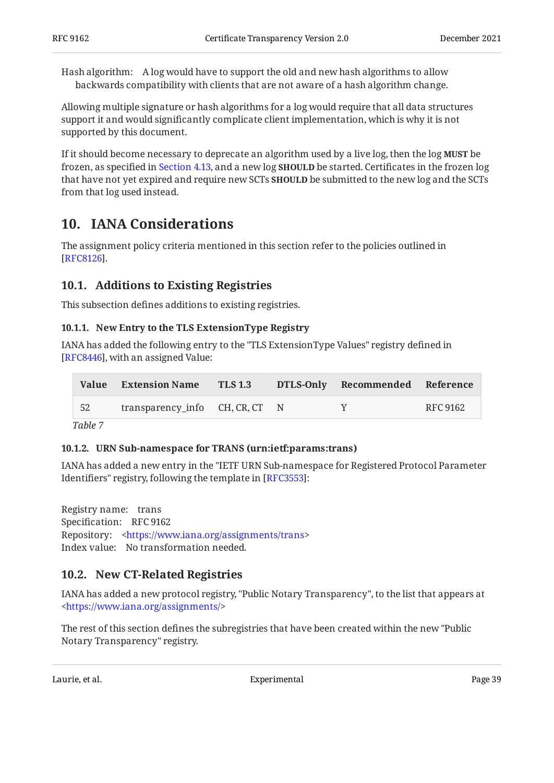Hash algorithm: A log would have to support the old and new hash algorithms to allow backwards compatibility with clients that are not aware of a hash algorithm change.

Allowing multiple signature or hash algorithms for a log would require that all data structures support it and would significantly complicate client implementation, which is why it is not supported by this document.

If it should become necessary to deprecate an algorithm used by a live log, then the log **MUST** be frozen, as specified in [Section 4.13,](#page-23-0) and a new log **SHOULD** be started. Certificates in the frozen log that have not yet expired and require new SCTs **SHOULD** be submitted to the new log and the SCTs from that log used instead.

## <span id="page-38-0"></span>**[10. IANA Considerations](#page-38-0)**

The assignment policy criteria mentioned in this section refer to the policies outlined in [[RFC8126\]](#page-49-6).

### <span id="page-38-1"></span>**[10.1. Additions to Existing Registries](#page-38-1)**

<span id="page-38-2"></span>This subsection defines additions to existing registries.

#### **[10.1.1. New Entry to the TLS ExtensionType Registry](#page-38-2)**

IANA has added the following entry to the "TLS ExtensionType Values" registry defined in [[RFC8446\]](#page-48-3), with an assigned Value:

<span id="page-38-5"></span>

| - 52 | transparency_info CH, CR, CT N |  | v | RFC 9162 |
|------|--------------------------------|--|---|----------|

<span id="page-38-3"></span>*[Table 7](#page-38-5)*

#### **[10.1.2. URN Sub-namespace for TRANS \(urn:ietf:params:trans\)](#page-38-3)**

IANA has added a new entry in the "IETF URN Sub-namespace for Registered Protocol Parameter Identifiers" registry, following the template in [RFC3553]:

Registry name: trans Specification: RFC 9162 Repository: [<https://www.iana.org/assignments/trans](https://www.iana.org/assignments/trans)> Index value: No transformation needed.

### <span id="page-38-4"></span>**[10.2. New CT-Related Registries](#page-38-4)**

IANA has added a new protocol registry, "Public Notary Transparency", to the list that appears at [<https://www.iana.org/assignments/>](https://www.iana.org/assignments/)

The rest of this section defines the subregistries that have been created within the new "Public Notary Transparency" registry.

Laurie, et al. No. 2016 and Experimental Page 39 and Page 39 and Page 39 and Page 39 and Page 39 and Page 39 and Page 39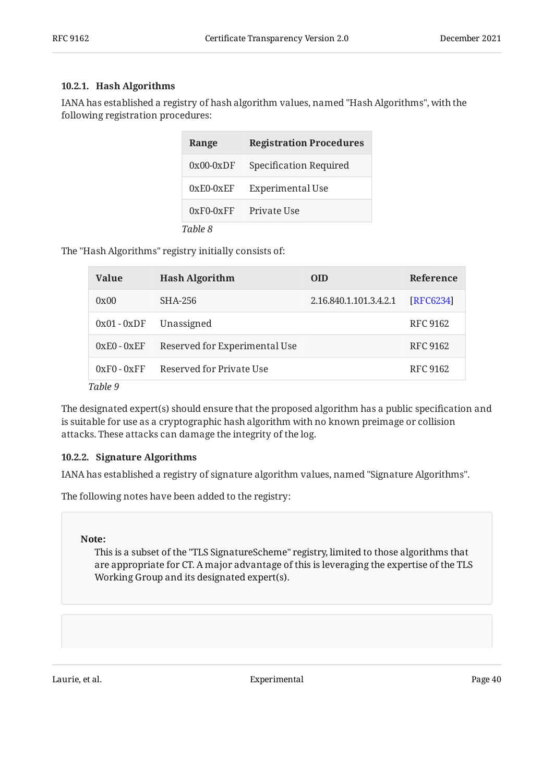#### <span id="page-39-0"></span>**[10.2.1. Hash Algorithms](#page-39-0)**

IANA has established a registry of hash algorithm values, named "Hash Algorithms", with the following registration procedures:

<span id="page-39-2"></span>

| Range       | <b>Registration Procedures</b> |
|-------------|--------------------------------|
| $0x00-0xDF$ | Specification Required         |
| $0xE0-0xEF$ | Experimental Use               |
| $0xF0-0xFF$ | Private Use                    |
| Table 8     |                                |

The "Hash Algorithms" registry initially consists of:

<span id="page-39-3"></span>

| <b>Value</b>  | <b>Hash Algorithm</b>         | <b>OID</b>             | <b>Reference</b> |
|---------------|-------------------------------|------------------------|------------------|
| 0x00          | SHA-256                       | 2.16.840.1.101.3.4.2.1 | [RFC6234]        |
| $0x01 - 0xDF$ | Unassigned                    |                        | <b>RFC 9162</b>  |
| $0xE0 - 0xEF$ | Reserved for Experimental Use |                        | <b>RFC 9162</b>  |
| $0xF0 - 0xFF$ | Reserved for Private Use      |                        | RFC 9162         |
| Table 9       |                               |                        |                  |

The designated expert(s) should ensure that the proposed algorithm has a public specification and is suitable for use as a cryptographic hash algorithm with no known preimage or collision attacks. These attacks can damage the integrity of the log.

#### <span id="page-39-1"></span>**[10.2.2. Signature Algorithms](#page-39-1)**

IANA has established a registry of signature algorithm values, named "Signature Algorithms".

The following notes have been added to the registry:

#### **Note:**

This is a subset of the "TLS SignatureScheme" registry, limited to those algorithms that are appropriate for CT. A major advantage of this is leveraging the expertise of the TLS Working Group and its designated expert(s).

Laurie, et al. **Experimental** Experimental Page 40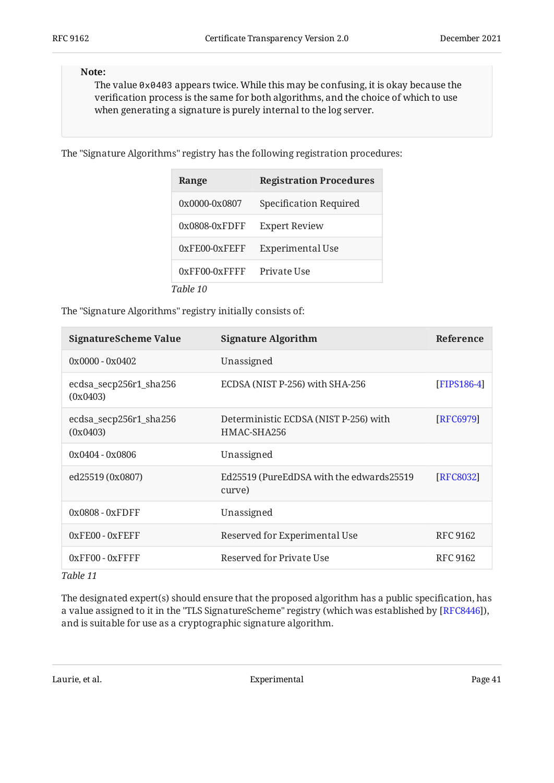#### **Note:**

The value 0x0403 appears twice. While this may be confusing, it is okay because the verification process is the same for both algorithms, and the choice of which to use when generating a signature is purely internal to the log server.

The "Signature Algorithms" registry has the following registration procedures:

<span id="page-40-0"></span>

| Range            | <b>Registration Procedures</b> |
|------------------|--------------------------------|
| 0x0000-0x0807    | Specification Required         |
| $0x0808-0xF$ DFF | <b>Expert Review</b>           |
| $0xFE00-0xFEFF$  | Experimental Use               |
| $0xFF00-0xFFF$   | Private Use                    |
| Table 10         |                                |

The "Signature Algorithms" registry initially consists of:

<span id="page-40-1"></span>

| <b>SignatureScheme Value</b>       | <b>Signature Algorithm</b>                           | Reference       |
|------------------------------------|------------------------------------------------------|-----------------|
| $0x0000 - 0x0402$                  | Unassigned                                           |                 |
| ecdsa_secp256r1_sha256<br>(0x0403) | ECDSA (NIST P-256) with SHA-256                      | [FIPS186-4]     |
| ecdsa_secp256r1_sha256<br>(0x0403) | Deterministic ECDSA (NIST P-256) with<br>HMAC-SHA256 | [RFC6979]       |
| $0x0404 - 0x0806$                  | Unassigned                                           |                 |
| ed25519 (0x0807)                   | Ed25519 (PureEdDSA with the edwards25519<br>curve)   | [RFC8032]       |
| $0x0808 - 0xF$ DFF                 | Unassigned                                           |                 |
| $0xFEOO - 0xFEFF$                  | Reserved for Experimental Use                        | <b>RFC 9162</b> |
| 0xFF00 - 0xFFFF<br>$T = 1.1 - 44$  | Reserved for Private Use                             | <b>RFC 9162</b> |

*[Table 11](#page-40-1)*

The designated expert(s) should ensure that the proposed algorithm has a public specification, has a value assigned to it in the "TLS SignatureScheme" registry (which was established by [\[RFC8446\]](#page-48-3)), and is suitable for use as a cryptographic signature algorithm.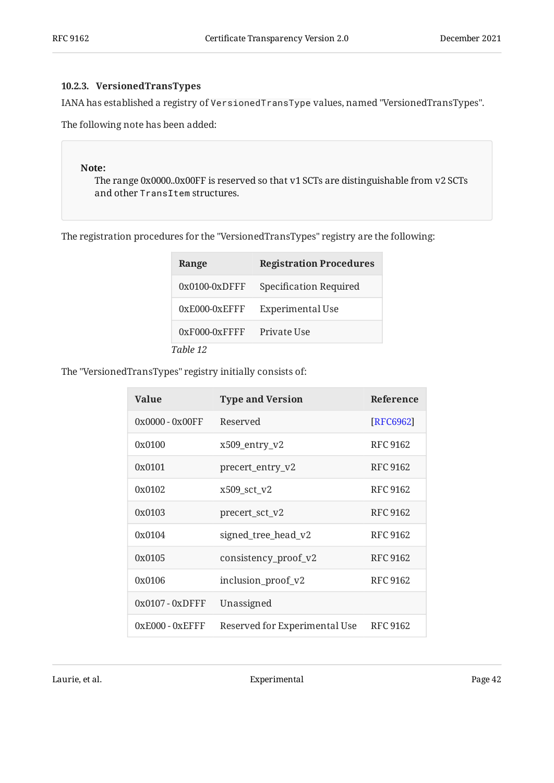#### <span id="page-41-0"></span>**[10.2.3. VersionedTransTypes](#page-41-0)**

IANA has established a registry of VersionedTransType values, named "VersionedTransTypes".

The following note has been added:

#### **Note:**

The range 0x0000..0x00FF is reserved so that v1 SCTs are distinguishable from v2 SCTs and other TransItem structures.

The registration procedures for the "VersionedTransTypes" registry are the following:

<span id="page-41-1"></span>

| Range            | <b>Registration Procedures</b> |
|------------------|--------------------------------|
| $0x0100-0xD$ FFF | Specification Required         |
| $0xE000-0xEFFF$  | <b>Experimental Use</b>        |
| $0xF000-0xFFF$   | Private Use                    |
| Table 12         |                                |

The "VersionedTransTypes" registry initially consists of:

<span id="page-41-2"></span>

| <b>Value</b>       | <b>Type and Version</b>       | Reference       |
|--------------------|-------------------------------|-----------------|
| $0x0000 - 0x00FF$  | Reserved                      | [RFC6962]       |
| 0x0100             | x509_entry_v2                 | <b>RFC 9162</b> |
| 0x0101             | precert_entry_v2              | <b>RFC 9162</b> |
| 0x0102             | x509 sct v2                   | <b>RFC 9162</b> |
| 0x0103             | precert_sct_v2                | <b>RFC 9162</b> |
| 0x0104             | signed_tree_head_v2           | RFC 9162        |
| 0x0105             | consistency_proof_v2          | <b>RFC 9162</b> |
| 0x0106             | inclusion_proof_v2            | <b>RFC 9162</b> |
| $0x0107 - 0x$ DFFF | Unassigned                    |                 |
| $0xE000 - 0xEFFF$  | Reserved for Experimental Use | <b>RFC 9162</b> |

Laurie, et al. 2008 and 2012 Experimental Experimental Page 42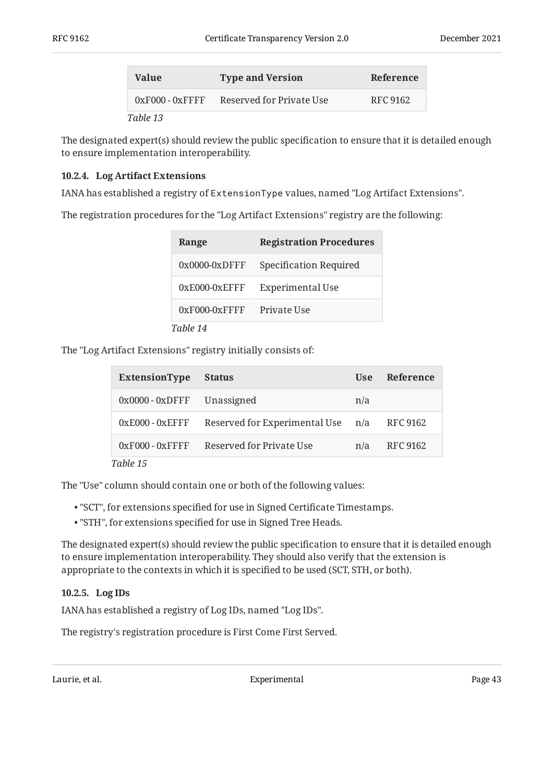| <b>Value</b>      | <b>Type and Version</b>  | Reference |
|-------------------|--------------------------|-----------|
| $0xF000 - 0xFFFF$ | Reserved for Private Use | RFC 9162  |
| $T_0$ bla 19      |                          |           |

*[Table 13](#page-41-2)*

The designated expert(s) should review the public specification to ensure that it is detailed enough to ensure implementation interoperability.

#### <span id="page-42-0"></span>**[10.2.4. Log Artifact Extensions](#page-42-0)**

IANA has established a registry of ExtensionType values, named "Log Artifact Extensions".

The registration procedures for the "Log Artifact Extensions" registry are the following:

<span id="page-42-2"></span>

| Range            | <b>Registration Procedures</b> |
|------------------|--------------------------------|
| $0x0000-0xD$ FFF | Specification Required         |
| $0xE000-0xEFFF$  | Experimental Use               |
| $0xF000-0xFFFF$  | Private Use                    |
| Table 14         |                                |

The "Log Artifact Extensions" registry initially consists of:

<span id="page-42-3"></span>

| ExtensionType                 | <b>Status</b>                       | Use | Reference       |
|-------------------------------|-------------------------------------|-----|-----------------|
| $0x0000 - 0x$ DFFF Unassigned |                                     | n/a |                 |
| $0xE000 - 0xEFFF$             | Reserved for Experimental Use $n/a$ |     | RFC 9162        |
| $0xF000 - 0xFFF$              | Reserved for Private Use            | n/a | <b>RFC 9162</b> |
| Table 15                      |                                     |     |                 |

The "Use" column should contain one or both of the following values:

- "SCT", for extensions specified for use in Signed Certificate Timestamps. •
- "STH", for extensions specified for use in Signed Tree Heads. •

The designated expert(s) should review the public specification to ensure that it is detailed enough to ensure implementation interoperability. They should also verify that the extension is appropriate to the contexts in which it is specified to be used (SCT, STH, or both).

#### <span id="page-42-1"></span>**[10.2.5. Log IDs](#page-42-1)**

IANA has established a registry of Log IDs, named "Log IDs".

The registry's registration procedure is First Come First Served.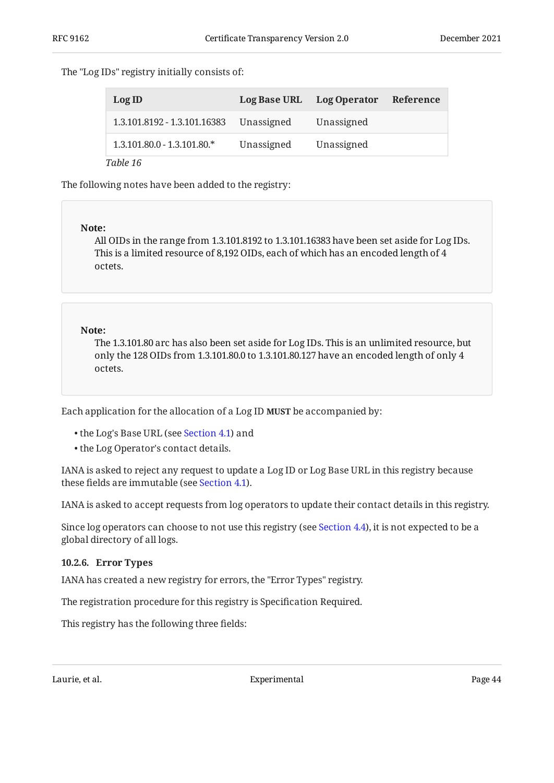#### The "Log IDs" registry initially consists of:

<span id="page-43-1"></span>

| LogID                         |            | Log Base URL Log Operator | Reference |
|-------------------------------|------------|---------------------------|-----------|
| 1.3.101.8192 - 1.3.101.16383  | Unassigned | Unassigned                |           |
| $1.3.101.80.0 - 1.3.101.80.*$ | Unassigned | Unassigned                |           |

*[Table 16](#page-43-1)*

The following notes have been added to the registry:

#### **Note:**

All OIDs in the range from 1.3.101.8192 to 1.3.101.16383 have been set aside for Log IDs. This is a limited resource of 8,192 OIDs, each of which has an encoded length of 4 octets.

#### **Note:**

The 1.3.101.80 arc has also been set aside for Log IDs. This is an unlimited resource, but only the 128 OIDs from 1.3.101.80.0 to 1.3.101.80.127 have an encoded length of only 4 octets.

Each application for the allocation of a Log ID **MUST** be accompanied by:

- the Log's Base URL (see [Section 4.1\)](#page-15-0) and •
- the Log Operator's contact details.

IANA is asked to reject any request to update a Log ID or Log Base URL in this registry because these fields are immutable (see [Section 4.1](#page-15-0)).

IANA is asked to accept requests from log operators to update their contact details in this registry.

Since log operators can choose to not use this registry (see [Section 4.4\)](#page-17-1), it is not expected to be a global directory of all logs.

#### <span id="page-43-0"></span>**[10.2.6. Error Types](#page-43-0)**

IANA has created a new registry for errors, the "Error Types" registry.

The registration procedure for this registry is Specification Required.

This registry has the following three fields: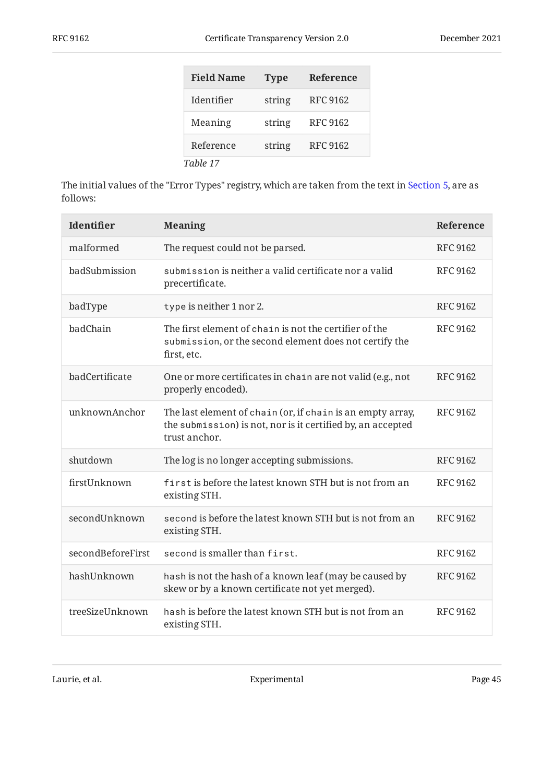<span id="page-44-0"></span>

| <b>Field Name</b> | <b>Type</b> | <b>Reference</b> |
|-------------------|-------------|------------------|
| Identifier        | string      | <b>RFC 9162</b>  |
| Meaning           | string      | <b>RFC 9162</b>  |
| Reference         | string      | <b>RFC 9162</b>  |
| Table 17          |             |                  |

The initial values of the "Error Types" registry, which are taken from the text in [Section 5,](#page-23-1) are as follows:

<span id="page-44-1"></span>

| Identifier        | <b>Meaning</b>                                                                                                                             | Reference       |
|-------------------|--------------------------------------------------------------------------------------------------------------------------------------------|-----------------|
| malformed         | The request could not be parsed.                                                                                                           | <b>RFC 9162</b> |
| badSubmission     | submission is neither a valid certificate nor a valid<br>precertificate.                                                                   | <b>RFC 9162</b> |
| badType           | type is neither 1 nor 2.                                                                                                                   | <b>RFC 9162</b> |
| badChain          | The first element of chain is not the certifier of the<br>submission, or the second element does not certify the<br>first, etc.            | <b>RFC 9162</b> |
| badCertificate    | One or more certificates in chain are not valid (e.g., not<br>properly encoded).                                                           | <b>RFC 9162</b> |
| unknownAnchor     | The last element of chain (or, if chain is an empty array,<br>the submission) is not, nor is it certified by, an accepted<br>trust anchor. | <b>RFC 9162</b> |
| shutdown          | The log is no longer accepting submissions.                                                                                                | <b>RFC 9162</b> |
| firstUnknown      | first is before the latest known STH but is not from an<br>existing STH.                                                                   | <b>RFC 9162</b> |
| secondUnknown     | second is before the latest known STH but is not from an<br>existing STH.                                                                  | <b>RFC 9162</b> |
| secondBeforeFirst | second is smaller than first.                                                                                                              | <b>RFC 9162</b> |
| hashUnknown       | hash is not the hash of a known leaf (may be caused by<br>skew or by a known certificate not yet merged).                                  | <b>RFC 9162</b> |
| treeSizeUnknown   | hash is before the latest known STH but is not from an<br>existing STH.                                                                    | <b>RFC 9162</b> |

Laurie, et al. Experimental Page 45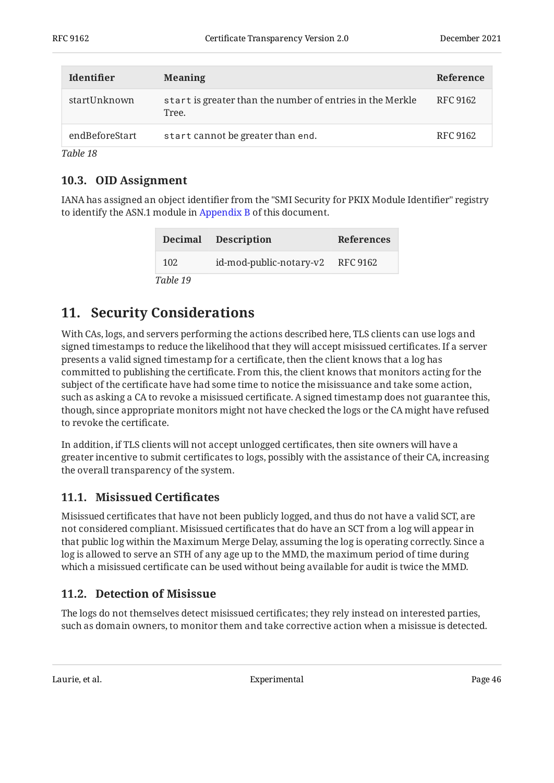| <b>Identifier</b> | <b>Meaning</b>                                                     | Reference |
|-------------------|--------------------------------------------------------------------|-----------|
| startUnknown      | start is greater than the number of entries in the Merkle<br>Tree. | RFC 9162  |
| endBeforeStart    | start cannot be greater than end.                                  | RFC 9162  |

<span id="page-45-0"></span>*[Table 18](#page-44-1)*

### **[10.3. OID Assignment](#page-45-0)**

IANA has assigned an object identifier from the "SMI Security for PKIX Module Identifier" registry to identify the ASN.1 module in [Appendix B](#page-50-0) of this document.

<span id="page-45-4"></span>

|          | Decimal Description              | <b>References</b> |
|----------|----------------------------------|-------------------|
| 102      | id-mod-public-notary-v2 RFC 9162 |                   |
| Table 19 |                                  |                   |

## <span id="page-45-1"></span>**[11. Security Considerations](#page-45-1)**

With CAs, logs, and servers performing the actions described here, TLS clients can use logs and signed timestamps to reduce the likelihood that they will accept misissued certificates. If a server presents a valid signed timestamp for a certificate, then the client knows that a log has committed to publishing the certificate. From this, the client knows that monitors acting for the subject of the certificate have had some time to notice the misissuance and take some action, such as asking a CA to revoke a misissued certificate. A signed timestamp does not guarantee this, though, since appropriate monitors might not have checked the logs or the CA might have refused to revoke the certificate.

In addition, if TLS clients will not accept unlogged certificates, then site owners will have a greater incentive to submit certificates to logs, possibly with the assistance of their CA, increasing the overall transparency of the system.

### <span id="page-45-2"></span>**[11.1. Misissued Certi](#page-45-2)ficates**

Misissued certificates that have not been publicly logged, and thus do not have a valid SCT, are not considered compliant. Misissued certificates that do have an SCT from a log will appear in that public log within the Maximum Merge Delay, assuming the log is operating correctly. Since a log is allowed to serve an STH of any age up to the MMD, the maximum period of time during which a misissued certificate can be used without being available for audit is twice the MMD.

### <span id="page-45-3"></span>**[11.2. Detection of Misissue](#page-45-3)**

The logs do not themselves detect misissued certificates; they rely instead on interested parties, such as domain owners, to monitor them and take corrective action when a misissue is detected.

Laurie, et al. **Experimental** Experimental Page 46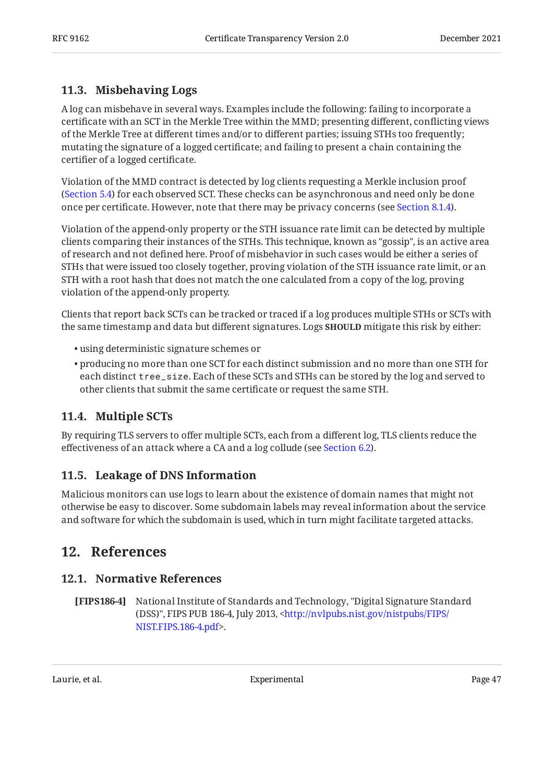### <span id="page-46-0"></span>**[11.3. Misbehaving Logs](#page-46-0)**

A log can misbehave in several ways. Examples include the following: failing to incorporate a certificate with an SCT in the Merkle Tree within the MMD; presenting different, conflicting views of the Merkle Tree at different times and/or to different parties; issuing STHs too frequently; mutating the signature of a logged certificate; and failing to present a chain containing the certifier of a logged certificate.

Violation of the MMD contract is detected by log clients requesting a Merkle inclusion proof ([Section 5.4\)](#page-27-0) for each observed SCT. These checks can be asynchronous and need only be done once per certificate. However, note that there may be privacy concerns (see [Section 8.1.4\)](#page-35-1).

Violation of the append-only property or the STH issuance rate limit can be detected by multiple clients comparing their instances of the STHs. This technique, known as "gossip", is an active area of research and not defined here. Proof of misbehavior in such cases would be either a series of STHs that were issued too closely together, proving violation of the STH issuance rate limit, or an STH with a root hash that does not match the one calculated from a copy of the log, proving violation of the append-only property.

Clients that report back SCTs can be tracked or traced if a log produces multiple STHs or SCTs with the same timestamp and data but different signatures. Logs **SHOULD** mitigate this risk by either:

- using deterministic signature schemes or •
- $\bullet$  producing no more than one SCT for each distinct submission and no more than one STH for each distinct tree\_size. Each of these SCTs and STHs can be stored by the log and served to other clients that submit the same certificate or request the same STH.

### <span id="page-46-1"></span>**[11.4. Multiple SCTs](#page-46-1)**

By requiring TLS servers to offer multiple SCTs, each from a different log, TLS clients reduce the effectiveness of an attack where a CA and a log collude (see [Section 6.2](#page-31-2)).

### <span id="page-46-2"></span>**[11.5. Leakage of DNS Information](#page-46-2)**

Malicious monitors can use logs to learn about the existence of domain names that might not otherwise be easy to discover. Some subdomain labels may reveal information about the service and software for which the subdomain is used, which in turn might facilitate targeted attacks.

## <span id="page-46-4"></span><span id="page-46-3"></span>**[12. References](#page-46-3)**

### **[12.1. Normative References](#page-46-4)**

<span id="page-46-5"></span>**[FIPS186-4]** , National Institute of Standards and Technology "Digital Signature Standard (DSS)", FIPS PUB 186-4, July 2013, <[http://nvlpubs.nist.gov/nistpubs/FIPS/](http://nvlpubs.nist.gov/nistpubs/FIPS/NIST.FIPS.186-4.pdf) . [NIST.FIPS.186-4.pdf](http://nvlpubs.nist.gov/nistpubs/FIPS/NIST.FIPS.186-4.pdf)>

Laurie, et al. No. 2016 1991 - Experimental Page 47 November 2016 1992 1994 1996 1996 1997 1998 1999 1999 199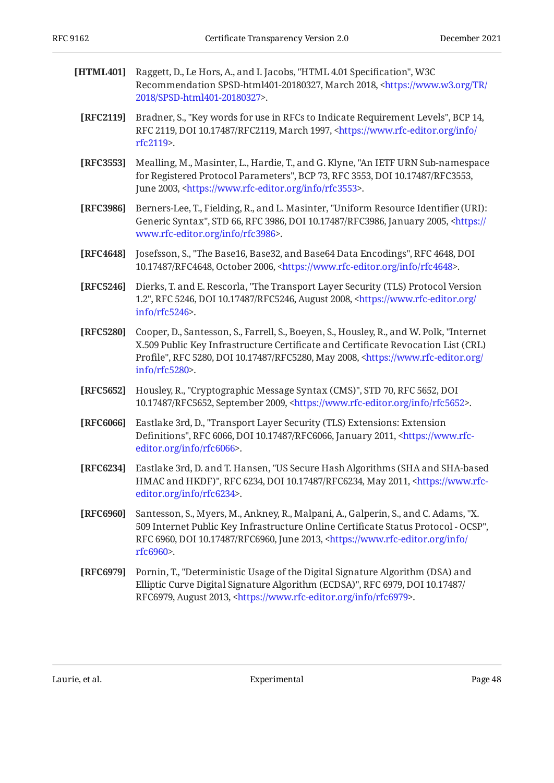- <span id="page-47-5"></span>**[HTML401]** Raggett, D., Le Hors, A., and I. Jacobs, "HTML 4.01 Specification", W3C Recommendation SPSD-html401-20180327, March 2018, <[https://www.w3.org/TR/](https://www.w3.org/TR/2018/SPSD-html401-20180327) . [2018/SPSD-html401-20180327](https://www.w3.org/TR/2018/SPSD-html401-20180327)>
- <span id="page-47-0"></span>**[RFC2119]** Bradner, S., "Key words for use in RFCs to Indicate Requirement Levels", BCP 14, RFC 2119, DOI 10.17487/RFC2119, March 1997, [<https://www.rfc-editor.org/info/](https://www.rfc-editor.org/info/rfc2119) . [rfc2119](https://www.rfc-editor.org/info/rfc2119)>
- <span id="page-47-9"></span>**[RFC3553]** Mealling, M., Masinter, L., Hardie, T., and G. Klyne, "An IETF URN Sub-namespace for Registered Protocol Parameters", BCP 73, RFC 3553, DOI 10.17487/RFC3553, June 2003, <https://www.rfc-editor.org/info/rfc3553>.
- <span id="page-47-4"></span>**[RFC3986]** Berners-Lee, T., Fielding, R., and L. Masinter, "Uniform Resource Identifier (URI): Generic Syntax", STD 66, RFC 3986, DOI 10.17487/RFC3986, January 2005, [<https://](https://www.rfc-editor.org/info/rfc3986) . [www.rfc-editor.org/info/rfc3986>](https://www.rfc-editor.org/info/rfc3986)
- <span id="page-47-6"></span>**[RFC4648]** Josefsson, S., "The Base16, Base32, and Base64 Data Encodings", RFC 4648, DOI 10.17487/RFC4648, October 2006, <https://www.rfc-editor.org/info/rfc4648>.
- <span id="page-47-7"></span>**[RFC5246]** Dierks, T. and E. Rescorla, "The Transport Layer Security (TLS) Protocol Version 1.2", RFC 5246, DOI 10.17487/RFC5246, August 2008, [<https://www.rfc-editor.org/](https://www.rfc-editor.org/info/rfc5246) . [info/rfc5246>](https://www.rfc-editor.org/info/rfc5246)
- <span id="page-47-1"></span>**[RFC5280]** Cooper, D., Santesson, S., Farrell, S., Boeyen, S., Housley, R., and W. Polk, "Internet Profile", RFC 5280, DOI 10.17487/RFC5280, May 2008, [<https://www.rfc-editor.org/](https://www.rfc-editor.org/info/rfc5280) . [info/rfc5280>](https://www.rfc-editor.org/info/rfc5280) X.509 Public Key Infrastructure Certificate and Certificate Revocation List (CRL)
- <span id="page-47-2"></span>**[RFC5652]** Housley, R., "Cryptographic Message Syntax (CMS)", STD 70, RFC 5652, DOI 10.17487/RFC5652, September 2009, <https://www.rfc-editor.org/info/rfc5652>.
- <span id="page-47-8"></span>**[RFC6066]** , Eastlake 3rd, D. "Transport Layer Security (TLS) Extensions: Extension Definitions", RFC 6066, DOI 10.17487/RFC6066, January 2011, [<https://www.rfc-](https://www.rfc-editor.org/info/rfc6066). [editor.org/info/rfc6066](https://www.rfc-editor.org/info/rfc6066)>
- <span id="page-47-10"></span>**[RFC6234]** Eastlake 3rd, D. and T. Hansen, "US Secure Hash Algorithms (SHA and SHA-based HMAC and HKDF)", RFC 6234, DOI 10.17487/RFC6234, May 2011, [<https://www.rfc-](https://www.rfc-editor.org/info/rfc6234). [editor.org/info/rfc6234](https://www.rfc-editor.org/info/rfc6234)>
- <span id="page-47-3"></span>**[RFC6960]** Santesson, S., Myers, M., Ankney, R., Malpani, A., Galperin, S., and C. Adams, "X. , 509 Internet Public Key Infrastructure Online Certificate Status Protocol - OCSP" RFC 6960, DOI 10.17487/RFC6960, June 2013, [<https://www.rfc-editor.org/info/](https://www.rfc-editor.org/info/rfc6960) . [rfc6960](https://www.rfc-editor.org/info/rfc6960)>
- <span id="page-47-11"></span>**[RFC6979]** Pornin, T., "Deterministic Usage of the Digital Signature Algorithm (DSA) and , , Elliptic Curve Digital Signature Algorithm (ECDSA)" RFC 6979 DOI 10.17487/ RFC6979, August 2013, <https://www.rfc-editor.org/info/rfc6979>.

Laurie, et al. Experimental Page 48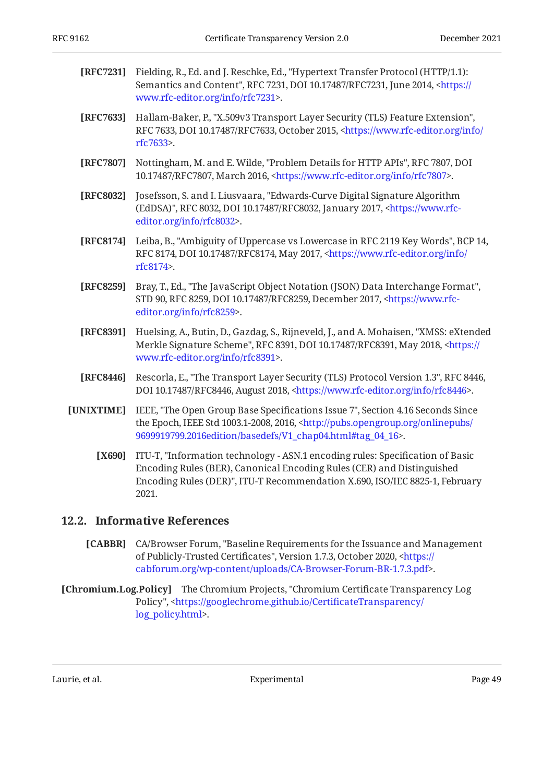<span id="page-48-12"></span><span id="page-48-11"></span><span id="page-48-9"></span><span id="page-48-8"></span><span id="page-48-2"></span>

| [RFC7231]  | Fielding, R., Ed. and J. Reschke, Ed., "Hypertext Transfer Protocol (HTTP/1.1):<br>Semantics and Content", RFC 7231, DOI 10.17487/RFC7231, June 2014, <https: <br="">www.rfc-editor.org/info/rfc7231&gt;.</https:>                               |
|------------|--------------------------------------------------------------------------------------------------------------------------------------------------------------------------------------------------------------------------------------------------|
| [RFC7633]  | Hallam-Baker, P., "X.509v3 Transport Layer Security (TLS) Feature Extension",<br>RFC 7633, DOI 10.17487/RFC7633, October 2015, <https: <br="" info="" www.rfc-editor.org="">rfc7633&gt;.</https:>                                                |
| [RFC7807]  | Nottingham, M. and E. Wilde, "Problem Details for HTTP APIs", RFC 7807, DOI<br>10.17487/RFC7807, March 2016, <https: info="" rfc7807="" www.rfc-editor.org="">.</https:>                                                                         |
| [RFC8032]  | Josefsson, S. and I. Liusvaara, "Edwards-Curve Digital Signature Algorithm<br>(EdDSA)", RFC 8032, DOI 10.17487/RFC8032, January 2017, <https: www.rfc-<br="">editor.org/info/rfc8032&gt;.</https:>                                               |
| [RFC8174]  | Leiba, B., "Ambiguity of Uppercase vs Lowercase in RFC 2119 Key Words", BCP 14,<br>RFC 8174, DOI 10.17487/RFC8174, May 2017, <https: <br="" info="" www.rfc-editor.org="">rfc8174&gt;.</https:>                                                  |
| [RFC8259]  | Bray, T., Ed., "The JavaScript Object Notation (JSON) Data Interchange Format",<br>STD 90, RFC 8259, DOI 10.17487/RFC8259, December 2017, <https: www.rfc-<br="">editor.org/info/rfc8259&gt;.</https:>                                           |
| [RFC8391]  | Huelsing, A., Butin, D., Gazdag, S., Rijneveld, J., and A. Mohaisen, "XMSS: eXtended<br>Merkle Signature Scheme", RFC 8391, DOI 10.17487/RFC8391, May 2018, <https: <br="">www.rfc-editor.org/info/rfc8391&gt;.</https:>                         |
| [RFC8446]  | Rescorla, E., "The Transport Layer Security (TLS) Protocol Version 1.3", RFC 8446,<br>DOI 10.17487/RFC8446, August 2018, <https: info="" rfc8446="" www.rfc-editor.org="">.</https:>                                                             |
| [UNIXTIME] | IEEE, "The Open Group Base Specifications Issue 7", Section 4.16 Seconds Since<br>the Epoch, IEEE Std 1003.1-2008, 2016, <http: <br="" onlinepubs="" pubs.opengroup.org="">9699919799.2016edition/basedefs/V1_chap04.html#tag_04_16&gt;.</http:> |

<span id="page-48-7"></span><span id="page-48-6"></span><span id="page-48-5"></span><span id="page-48-4"></span><span id="page-48-3"></span>**[X690]** ITU-T, "Information technology - ASN.1 encoding rules: Specification of Basic Encoding Rules (DER)", ITU-T Recommendation X.690, ISO/IEC 8825-1, February 2021. Encoding Rules (BER), Canonical Encoding Rules (CER) and Distinguished

### <span id="page-48-1"></span><span id="page-48-0"></span>**[12.2. Informative References](#page-48-0)**

- **[CABBR]** CA/Browser Forum, "Baseline Requirements for the Issuance and Management of Publicly-Trusted Certificates", Version 1.7.3, October 2020, <<del>http</del>s:// . [cabforum.org/wp-content/uploads/CA-Browser-Forum-BR-1.7.3.pdf](https://cabforum.org/wp-content/uploads/CA-Browser-Forum-BR-1.7.3.pdf)>
- <span id="page-48-10"></span>**[Chromium.Log.Policy]** The Chromium Projects, "Chromium Certificate Transparency Log , Policy" <[https://googlechrome.github.io/Certi](https://googlechrome.github.io/CertificateTransparency/log_policy.html)ficateTransparency/ . [log\\_policy.html](https://googlechrome.github.io/CertificateTransparency/log_policy.html)>

Laurie, et al. 2008 and 2012 Experimental Experimental Page 49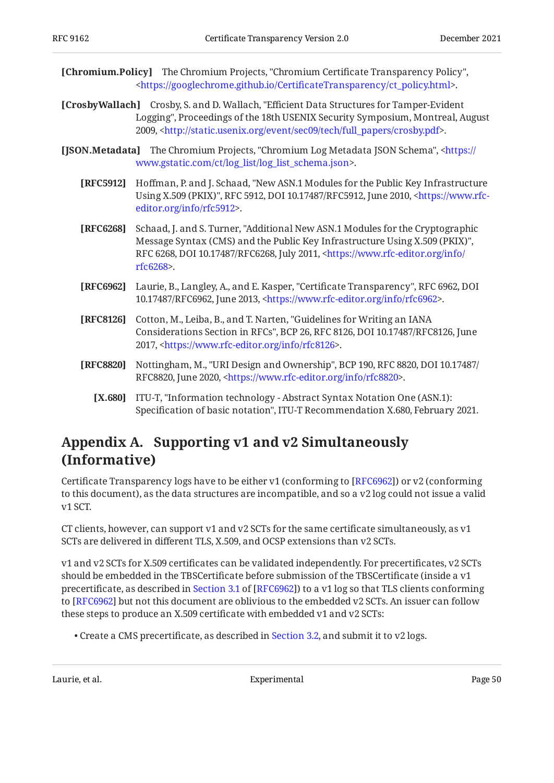<span id="page-49-5"></span>**[Chromium.Policy]** The Chromium Projects, "Chromium Certificate Transparency Policy", . [<https://googlechrome.github.io/Certi](https://googlechrome.github.io/CertificateTransparency/ct_policy.html)ficateTransparency/ct\_policy.html>

<span id="page-49-2"></span>**[CrosbyWallach]** Crosby, S. and D. Wallach, "Efficient Data Structures for Tamper-Evident Logging", Proceedings of the 18th USENIX Security Symposium, Montreal, August 2009, <http://static.usenix.org/event/sec09/tech/full\_papers/crosby.pdf>.

- <span id="page-49-9"></span><span id="page-49-8"></span><span id="page-49-3"></span><span id="page-49-1"></span>**[JSON.Metadata]** The Chromium Projects, "Chromium Log Metadata JSON Schema", <[https://](https://www.gstatic.com/ct/log_list/log_list_schema.json) . [www.gstatic.com/ct/log\\_list/log\\_list\\_schema.json>](https://www.gstatic.com/ct/log_list/log_list_schema.json)
	- **[RFC5912]** Hoffman, P. and J. Schaad, "New ASN.1 Modules for the Public Key Infrastructure Using X.509 (PKIX)", RFC 5912, DOI 10.17487/RFC5912, June 2010, <[https://www.rfc-](https://www.rfc-editor.org/info/rfc5912). [editor.org/info/rfc5912](https://www.rfc-editor.org/info/rfc5912)>
	- **[RFC6268]** Schaad, J. and S. Turner, "Additional New ASN.1 Modules for the Cryptographic , Message Syntax (CMS) and the Public Key Infrastructure Using X.509 (PKIX)" RFC 6268, DOI 10.17487/RFC6268, July 2011, [<https://www.rfc-editor.org/info/](https://www.rfc-editor.org/info/rfc6268) . [rfc6268](https://www.rfc-editor.org/info/rfc6268)>
	- **[RFC6962]** Laurie, B., Langley, A., and E. Kasper, "Certificate Transparency", RFC 6962, DOI 10.17487/RFC6962, June 2013, <https://www.rfc-editor.org/info/rfc6962>.
	- **[RFC8126]** Cotton, M., Leiba, B., and T. Narten, "Guidelines for Writing an IANA Considerations Section in RFCs", BCP 26, RFC 8126, DOI 10.17487/RFC8126, June 2017, <[https://www.rfc-editor.org/info/rfc8126>](https://www.rfc-editor.org/info/rfc8126).
	- **[RFC8820]** Nottingham, M., "URI Design and Ownership", BCP 190, RFC 8820, DOI 10.17487/ RFC8820, June 2020, <https://www.rfc-editor.org/info/rfc8820>.
		- [X.680] ITU-T, "Information technology Abstract Syntax Notation One (ASN.1): Specification of basic notation", ITU-T Recommendation X.680, February 2021.

## <span id="page-49-7"></span><span id="page-49-6"></span><span id="page-49-4"></span><span id="page-49-0"></span>**[Appendix A. Supporting v1 and v2 Simultaneously](#page-49-0) [\(Informative\)](#page-49-0)**

Certificate Transparency logs have to be either  $v1$  (conforming to [RFC6962]) or  $v2$  (conforming to this document), as the data structures are incompatible, and so a v2 log could not issue a valid v1 SCT.

CT clients, however, can support v1 and v2 SCTs for the same certificate simultaneously, as v1 SCTs are delivered in different TLS, X.509, and OCSP extensions than v2 SCTs.

v1 and v2 SCTs for X.509 certificates can be validated independently. For precertificates, v2 SCTs should be embedded in the TBSCertificate before submission of the TBSCertificate (inside a v1 precertificate,as described in Section 3.1 of [RFC6962]) to a v1 log so that TLS clients conforming to [RFC6962] but not this document are oblivious to the embedded v2 SCTs. An issuer can follow these steps to produce an X.509 certificate with embedded v1 and v2 SCTs:

 $\bullet$  Create a CMS precertificate, as described in [Section 3.2](#page-13-1), and submit it to v2 logs.

Laurie, et al. No. 2016 and Experimental Page 50 and Page 50 and Page 50 and Page 50 and Page 50 and Page 50 and Page 50 and Page 50 and Page 50 and Page 50 and Page 50 and Page 50 and Page 50 and Page 50 and Page 50 and P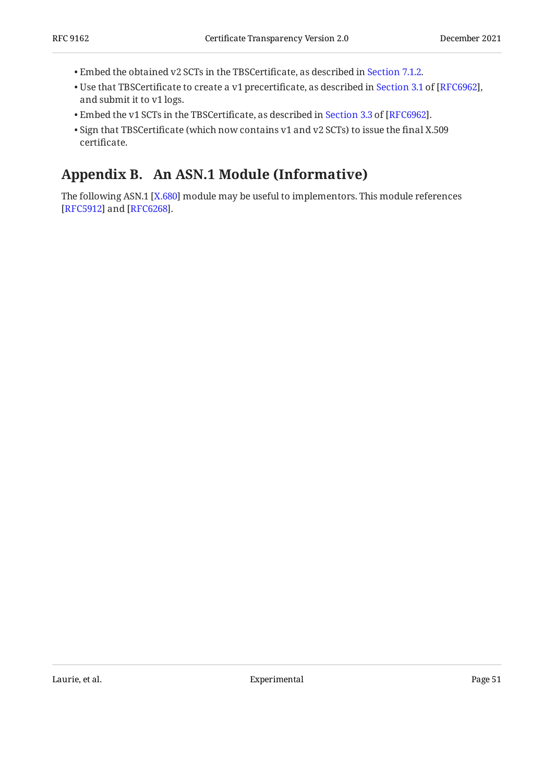- Embed the obtained v2 SCTs in the TBSCertificate, as described in [Section 7.1.2.](#page-34-0) •
- $\bullet$ Use that TBSCertificate to create a v1 precertificate, as described in Section 3.1 of [RFC6962], and submit it to v1 logs.
- $\bullet$ Embed the v1 SCTs in the TBSCertificate, as described in Section 3.3 of [RFC6962].
- $\bullet$  Sign that TBSCertificate (which now contains v1 and v2 SCTs) to issue the final X.509 certificate.

# <span id="page-50-0"></span>**[Appendix B. An ASN.1 Module \(Informative\)](#page-50-0)**

The following ASN.1 [X.680] module may be useful to implementors. This module references [[RFC5912\]](#page-49-8) and [RFC6268].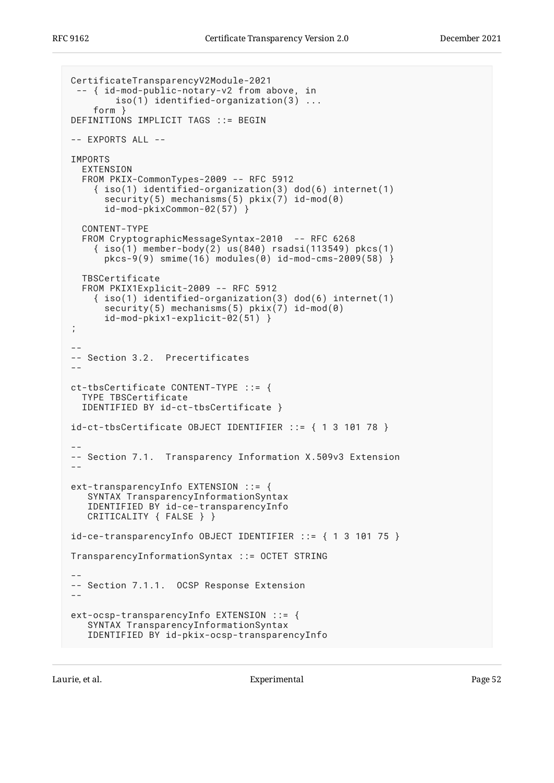```
CertificateTransparencyV2Module-2021
  -- { id-mod-public-notary-v2 from above, in
         iso(1) identified-organization(3) ...
     form }
DEFINITIONS IMPLICIT TAGS ::= BEGIN
-- EXPORTS ALL --
IMPORTS
   EXTENSION
   FROM PKIX-CommonTypes-2009 -- RFC 5912
     { iso(1) identified-organization(3) dod(6) internet(1)
      security(5) mechanisms(5) pkix(7) id-mod(0)
       id-mod-pkixCommon-02(57) }
   CONTENT-TYPE
   FROM CryptographicMessageSyntax-2010 -- RFC 6268
     { iso(1) member-body(2) us(840) rsadsi(113549) pkcs(1)
      pkcs-9(9) smime(16) modules(0) id-mod-cms-2009(58) \} TBSCertificate
   FROM PKIX1Explicit-2009 -- RFC 5912
     { iso(1) identified-organization(3) dod(6) internet(1)
      security(5) mechanisms(5) pkix(7) id-mod(0)
       id-mod-pkix1-explicit-02(51) }
;
--
-- Section 3.2. Precertificates
--
ct-tbsCertificate CONTENT-TYPE ::= {
  TYPE TBSCertificate
   IDENTIFIED BY id-ct-tbsCertificate }
id-ct-tbsCertificate OBJECT IDENTIFIER ::= { 1 3 101 78 }
--
-- Section 7.1. Transparency Information X.509v3 Extension
--
ext-transparencyInfo EXTENSION ::= {
    SYNTAX TransparencyInformationSyntax
    IDENTIFIED BY id-ce-transparencyInfo
    CRITICALITY { FALSE } }
id-ce-transparencyInfo OBJECT IDENTIFIER ::= { 1 3 101 75 }
TransparencyInformationSyntax ::= OCTET STRING
--
-- Section 7.1.1. OCSP Response Extension
-ext-ocsp-transparencyInfo EXTENSION ::= {
    SYNTAX TransparencyInformationSyntax
    IDENTIFIED BY id-pkix-ocsp-transparencyInfo
```
Laurie, et al. **Experimental** Experimental Page 52